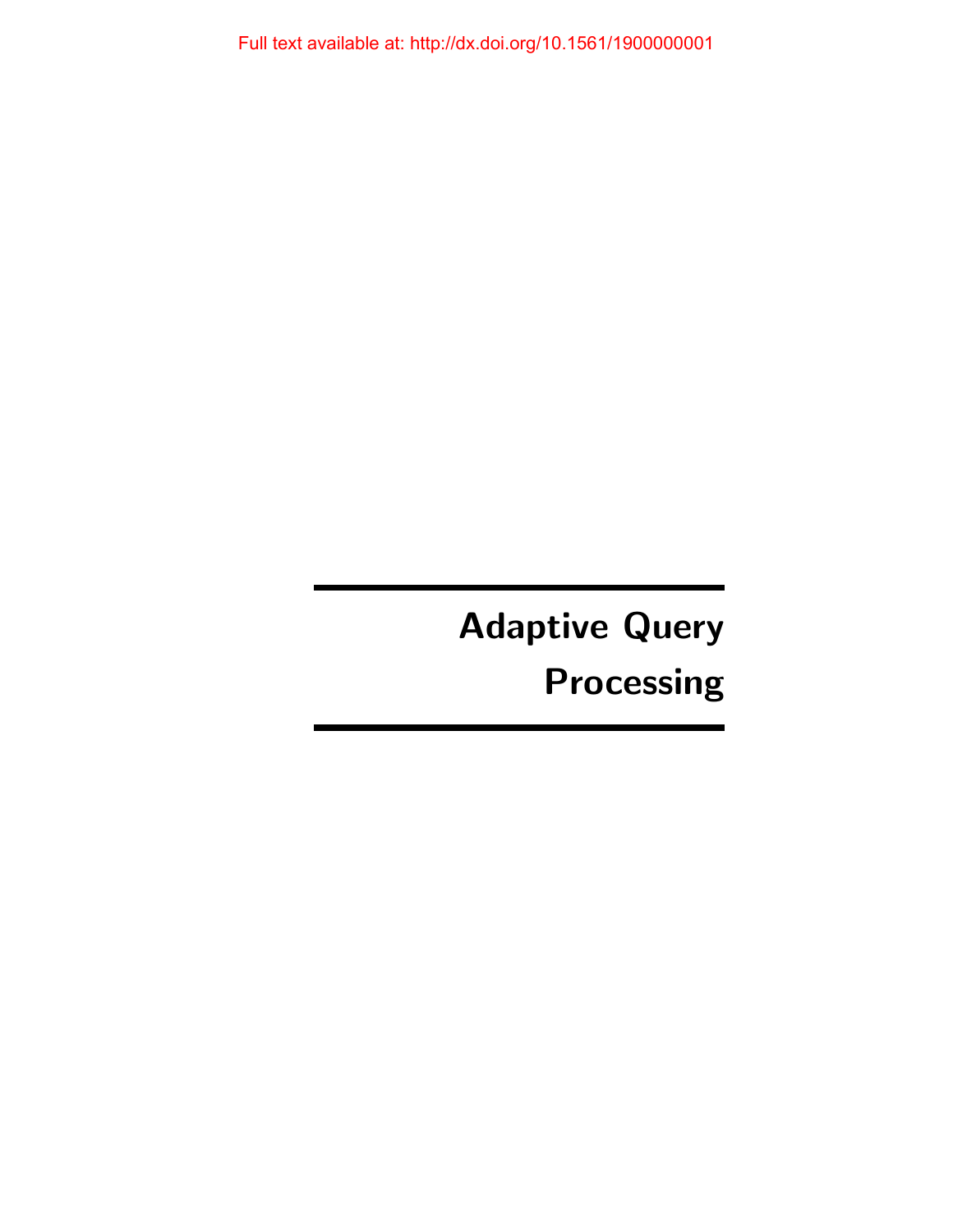Full text available at: http://dx.doi.org/10.1561/1900000001

Adaptive Query Processing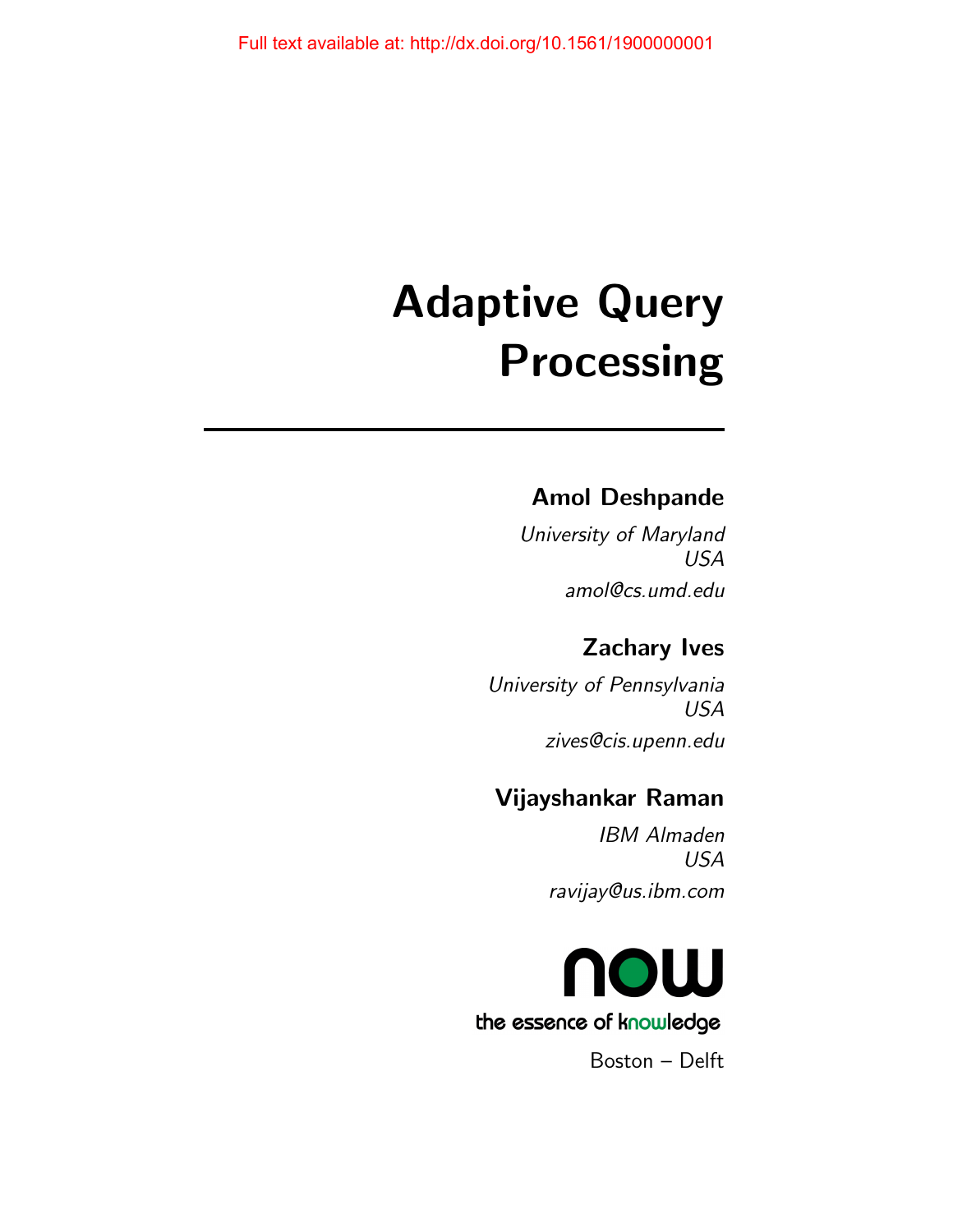# Adaptive Query Processing

### Amol Deshpande

University of Maryland USA amol@cs.umd.edu

### Zachary Ives

University of Pennsylvania USA zives@cis.upenn.edu

### Vijayshankar Raman

IBM Almaden USA ravijay@us.ibm.com



the essence of knowledge

Boston – Delft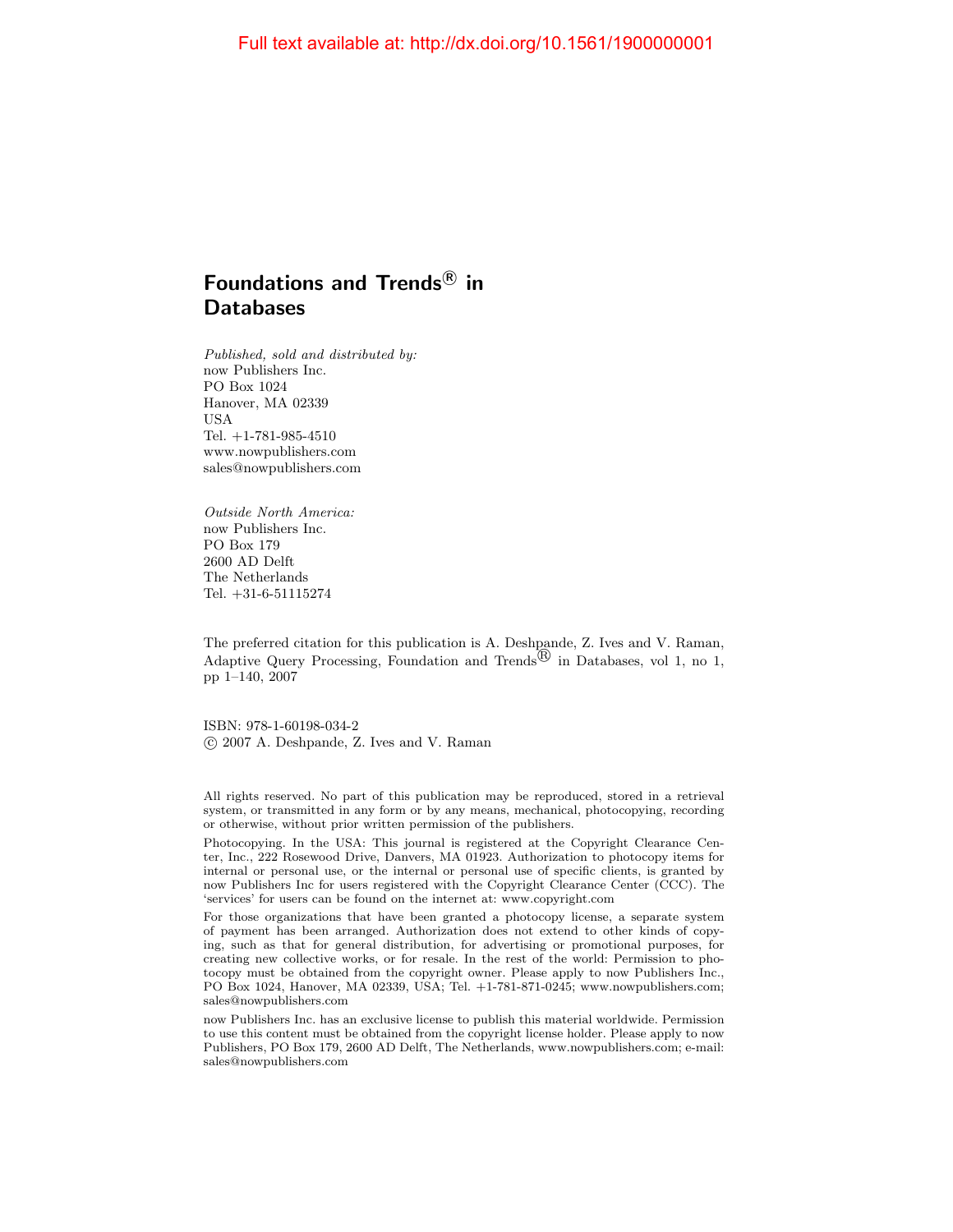### Foundations and Trends<sup>®</sup> in **Databases**

Published, sold and distributed by: now Publishers Inc. PO Box 1024 Hanover, MA 02339 USA Tel. +1-781-985-4510 www.nowpublishers.com sales@nowpublishers.com

Outside North America: now Publishers Inc. PO Box 179 2600 AD Delft The Netherlands Tel. +31-6-51115274

The preferred citation for this publication is A. Deshpande, Z. Ives and V. Raman, Adaptive Query Processing, Foundation and Trends<sup> $\mathcal{B}$ </sup> in Databases, vol 1, no 1, pp 1–140, 2007

ISBN: 978-1-60198-034-2 c 2007 A. Deshpande, Z. Ives and V. Raman

All rights reserved. No part of this publication may be reproduced, stored in a retrieval system, or transmitted in any form or by any means, mechanical, photocopying, recording or otherwise, without prior written permission of the publishers.

Photocopying. In the USA: This journal is registered at the Copyright Clearance Center, Inc., 222 Rosewood Drive, Danvers, MA 01923. Authorization to photocopy items for internal or personal use, or the internal or personal use of specific clients, is granted by now Publishers Inc for users registered with the Copyright Clearance Center (CCC). The 'services' for users can be found on the internet at: www.copyright.com

For those organizations that have been granted a photocopy license, a separate system of payment has been arranged. Authorization does not extend to other kinds of copying, such as that for general distribution, for advertising or promotional purposes, for creating new collective works, or for resale. In the rest of the world: Permission to photocopy must be obtained from the copyright owner. Please apply to now Publishers Inc., PO Box 1024, Hanover, MA 02339, USA; Tel. +1-781-871-0245; www.nowpublishers.com; sales@nowpublishers.com

now Publishers Inc. has an exclusive license to publish this material worldwide. Permission to use this content must be obtained from the copyright license holder. Please apply to now Publishers, PO Box 179, 2600 AD Delft, The Netherlands, www.nowpublishers.com; e-mail: sales@nowpublishers.com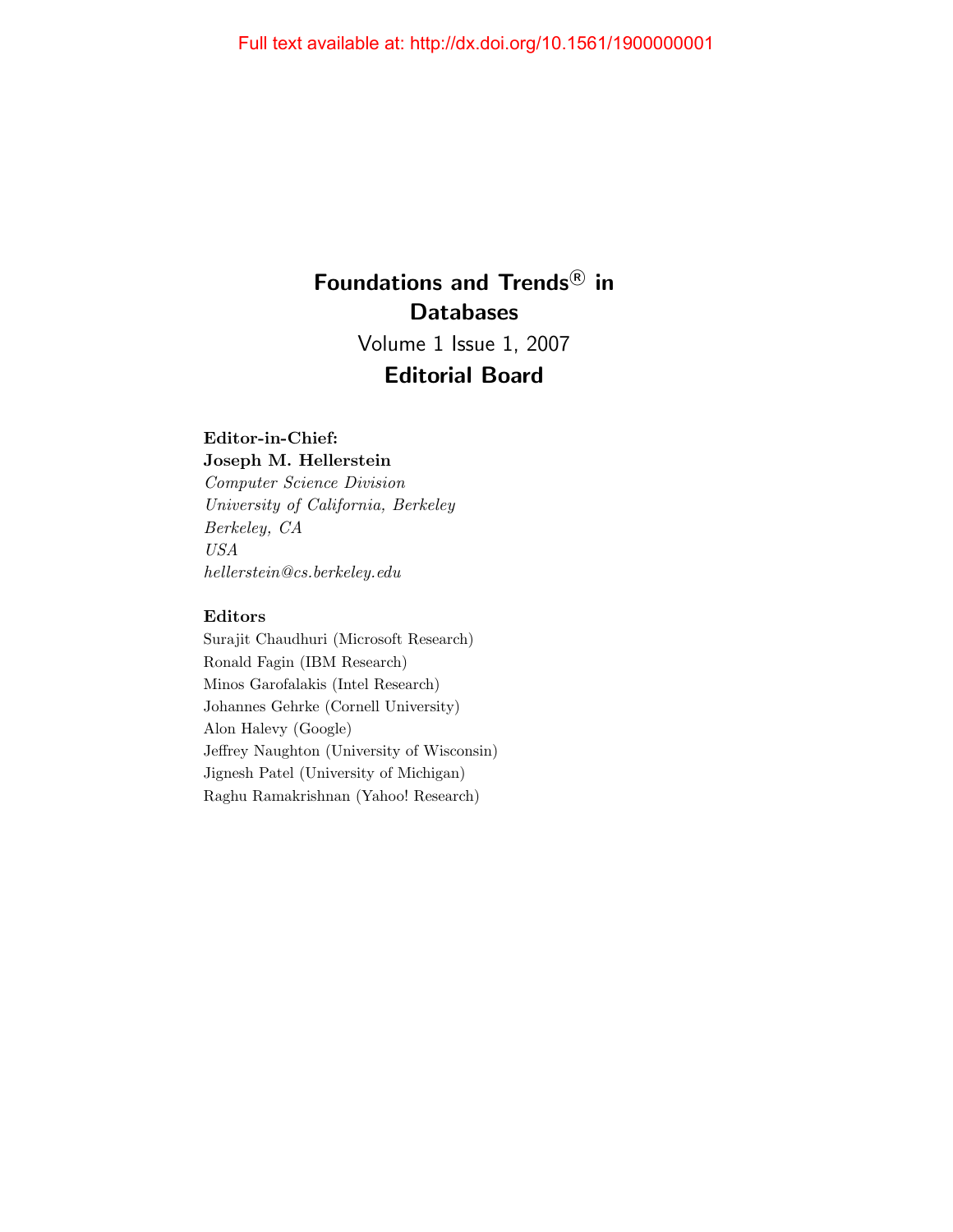### Foundations and Trends<sup>®</sup> in **Databases** Volume 1 Issue 1, 2007

Editorial Board

#### Editor-in-Chief: Joseph M. Hellerstein

Computer Science Division University of California, Berkeley Berkeley, CA USA hellerstein@cs.berkeley.edu

#### Editors

Surajit Chaudhuri (Microsoft Research) Ronald Fagin (IBM Research) Minos Garofalakis (Intel Research) Johannes Gehrke (Cornell University) Alon Halevy (Google) Jeffrey Naughton (University of Wisconsin) Jignesh Patel (University of Michigan) Raghu Ramakrishnan (Yahoo! Research)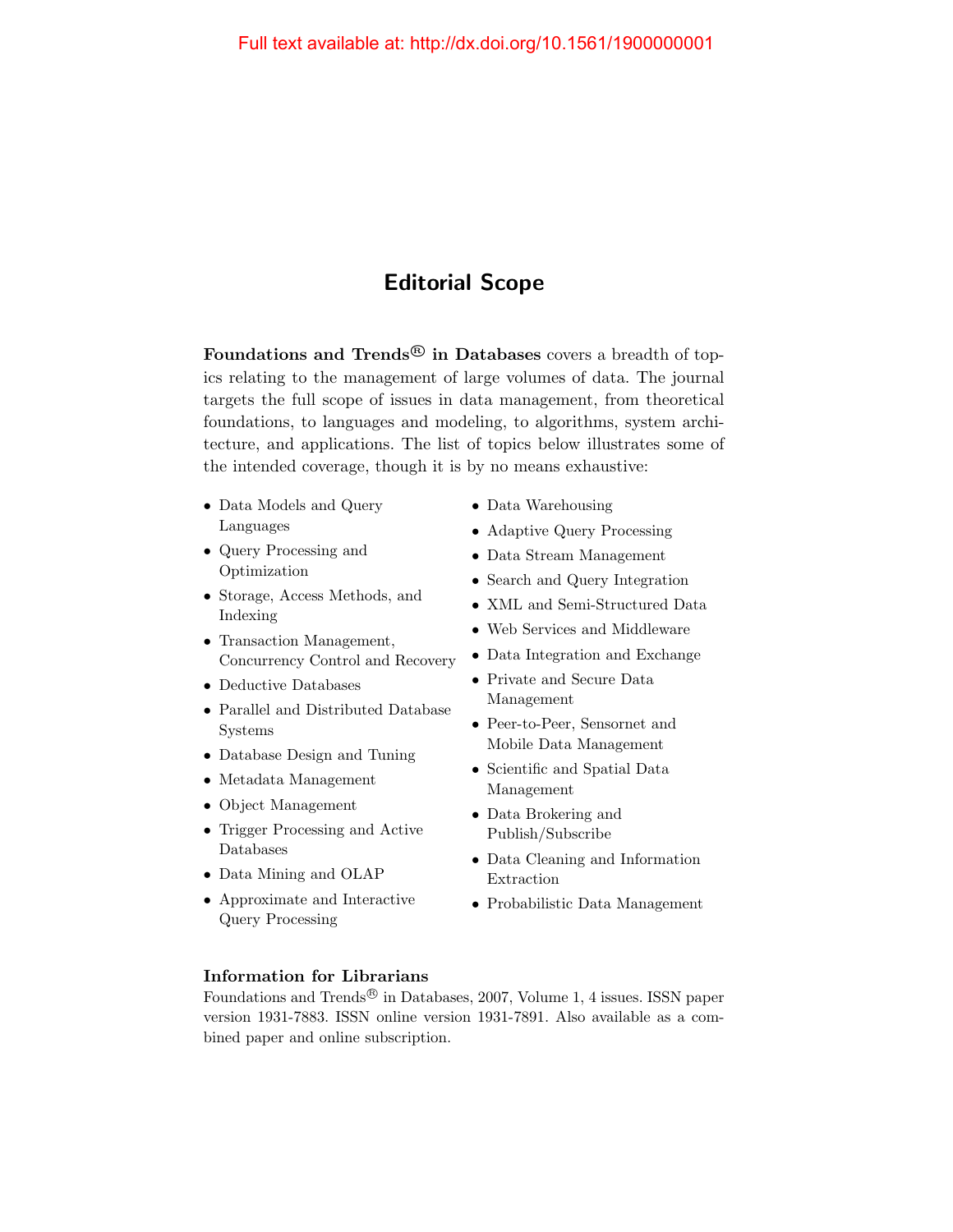### Editorial Scope

Foundations and Trends<sup>®</sup> in Databases covers a breadth of topics relating to the management of large volumes of data. The journal targets the full scope of issues in data management, from theoretical foundations, to languages and modeling, to algorithms, system architecture, and applications. The list of topics below illustrates some of the intended coverage, though it is by no means exhaustive:

- Data Models and Query Languages
- Query Processing and Optimization
- Storage, Access Methods, and Indexing
- Transaction Management, Concurrency Control and Recovery
- Deductive Databases
- Parallel and Distributed Database **Systems**
- Database Design and Tuning
- Metadata Management
- Object Management
- Trigger Processing and Active Databases
- Data Mining and OLAP
- Approximate and Interactive Query Processing
- Data Warehousing
- Adaptive Query Processing
- Data Stream Management
- Search and Query Integration
- XML and Semi-Structured Data
- Web Services and Middleware
- Data Integration and Exchange
- Private and Secure Data Management
- Peer-to-Peer, Sensornet and Mobile Data Management
- Scientific and Spatial Data Management
- Data Brokering and Publish/Subscribe
- Data Cleaning and Information Extraction
- Probabilistic Data Management

#### Information for Librarians

Foundations and Trends<sup>®</sup> in Databases, 2007, Volume 1, 4 issues. ISSN paper version 1931-7883. ISSN online version 1931-7891. Also available as a combined paper and online subscription.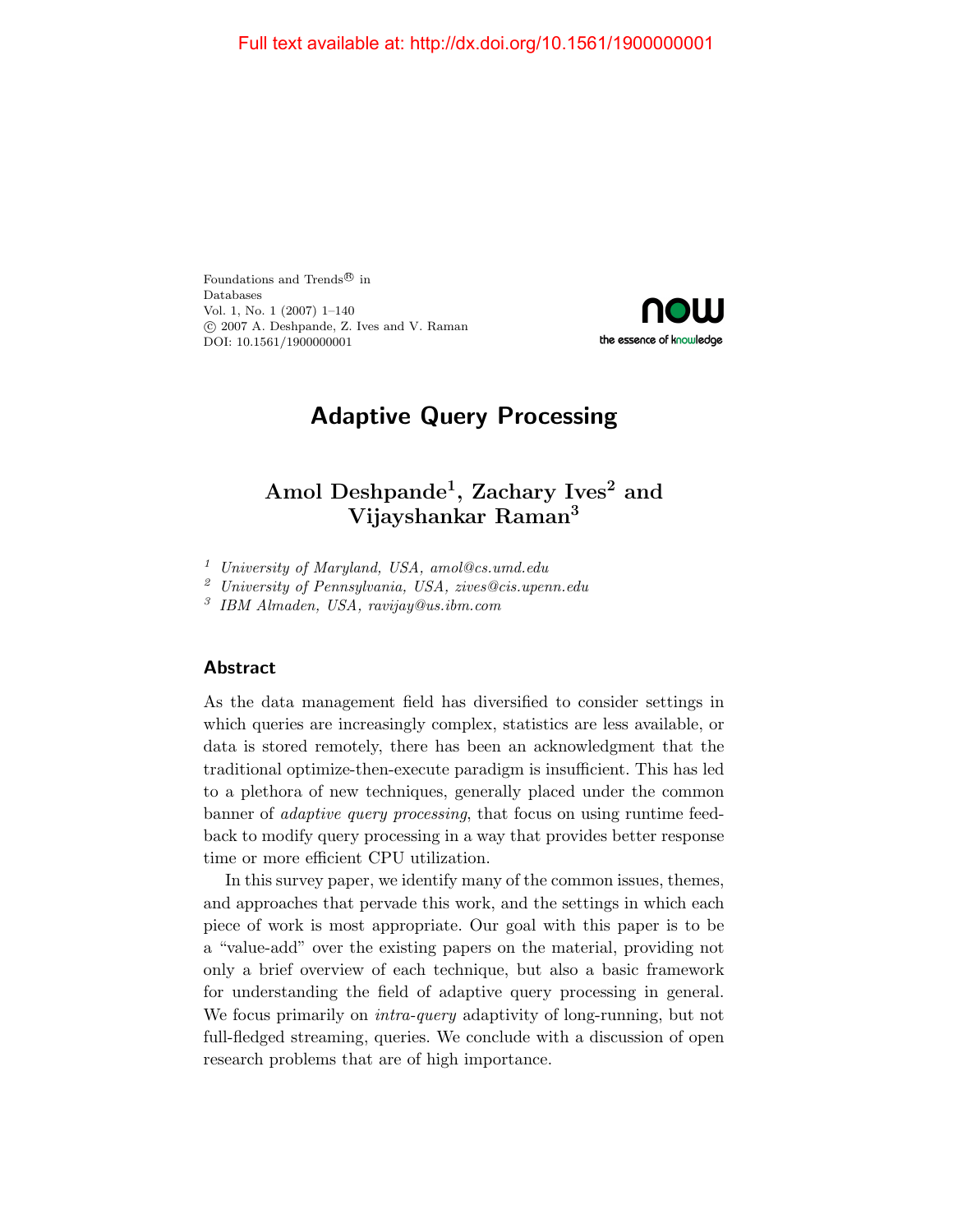Foundations and Trends<sup>®</sup> in Databases Vol. 1, No. 1 (2007) 1–140 c 2007 A. Deshpande, Z. Ives and V. Raman DOI: 10.1561/1900000001



### Adaptive Query Processing

### Amol Deshpande<sup>1</sup>, Zachary Ives<sup>2</sup> and Vijayshankar Raman<sup>3</sup>

- <sup>1</sup> University of Maryland, USA, amol@cs.umd.edu
- <sup>2</sup> University of Pennsylvania, USA, zives@cis.upenn.edu
- 3 IBM Almaden, USA, ravijay@us.ibm.com

#### Abstract

As the data management field has diversified to consider settings in which queries are increasingly complex, statistics are less available, or data is stored remotely, there has been an acknowledgment that the traditional optimize-then-execute paradigm is insufficient. This has led to a plethora of new techniques, generally placed under the common banner of adaptive query processing, that focus on using runtime feedback to modify query processing in a way that provides better response time or more efficient CPU utilization.

In this survey paper, we identify many of the common issues, themes, and approaches that pervade this work, and the settings in which each piece of work is most appropriate. Our goal with this paper is to be a "value-add" over the existing papers on the material, providing not only a brief overview of each technique, but also a basic framework for understanding the field of adaptive query processing in general. We focus primarily on *intra-query* adaptivity of long-running, but not full-fledged streaming, queries. We conclude with a discussion of open research problems that are of high importance.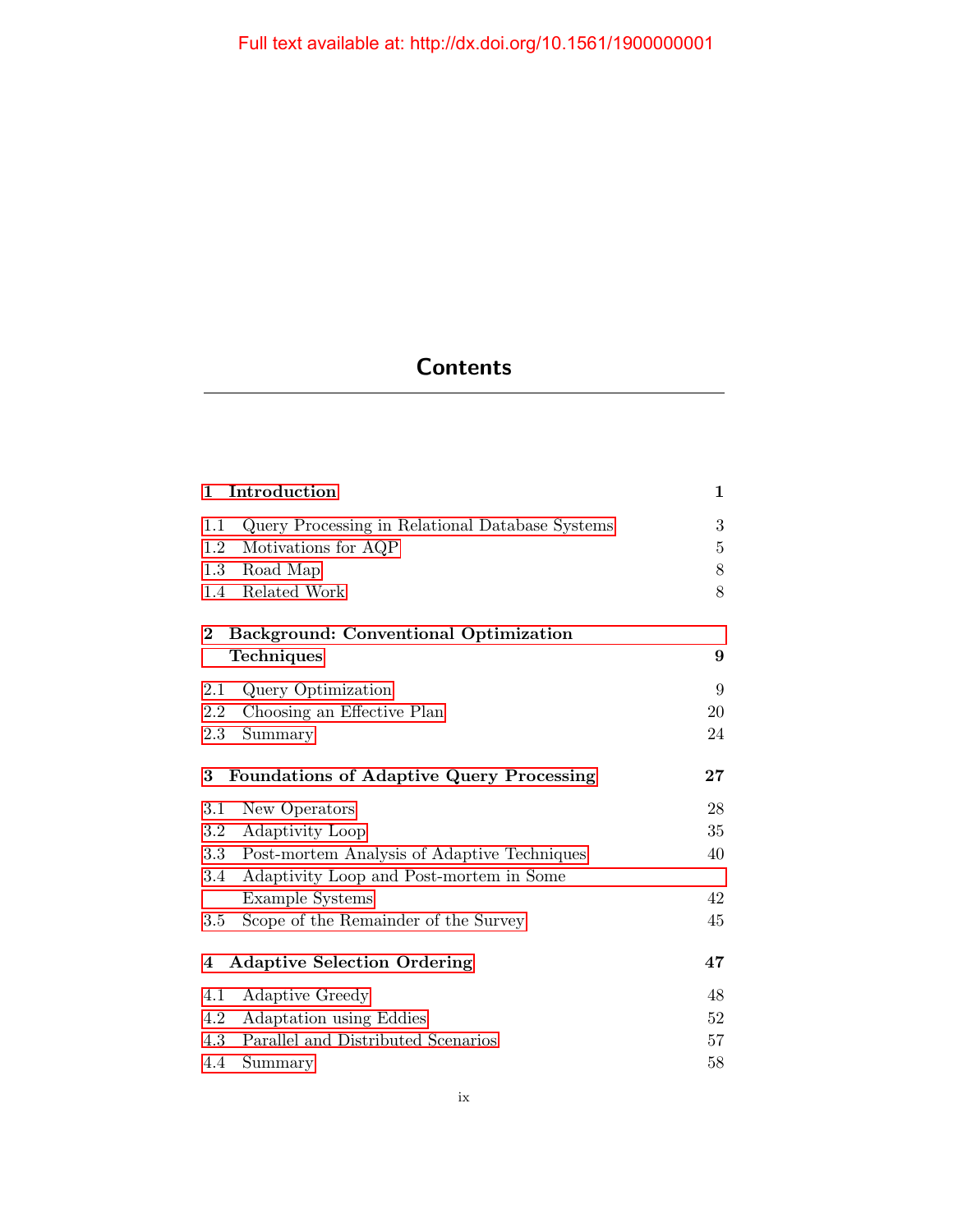### **Contents**

| 1                                                    | Introduction                                    | 1              |
|------------------------------------------------------|-------------------------------------------------|----------------|
| 1.1                                                  | Query Processing in Relational Database Systems | 3              |
| 1.2                                                  | Motivations for AQP                             | $\overline{5}$ |
| 1.3                                                  | Road Map                                        | 8              |
| 1.4                                                  | Related Work                                    | 8              |
| $\bf{2}$                                             | <b>Background: Conventional Optimization</b>    |                |
|                                                      | Techniques                                      | 9              |
| 2.1                                                  | Query Optimization                              | 9              |
| $2.2\,$                                              | Choosing an Effective Plan                      | 20             |
| 2.3                                                  | Summary                                         | 24             |
| <b>Foundations of Adaptive Query Processing</b><br>3 |                                                 | $27\,$         |
| 3.1                                                  | New Operators                                   | 28             |
| 3.2                                                  | Adaptivity Loop                                 | 35             |
| 3.3                                                  | Post-mortem Analysis of Adaptive Techniques     | 40             |
| 3.4                                                  | Adaptivity Loop and Post-mortem in Some         |                |
|                                                      | Example Systems                                 | 42             |
| $3.5\,$                                              | Scope of the Remainder of the Survey            | 45             |
| $\bf{4}$                                             | <b>Adaptive Selection Ordering</b>              | 47             |
| 4.1                                                  | Adaptive Greedy                                 | 48             |
| 4.2                                                  | Adaptation using Eddies                         | 52             |
| 4.3                                                  | Parallel and Distributed Scenarios              | 57             |
| 4.4                                                  | Summary                                         | 58             |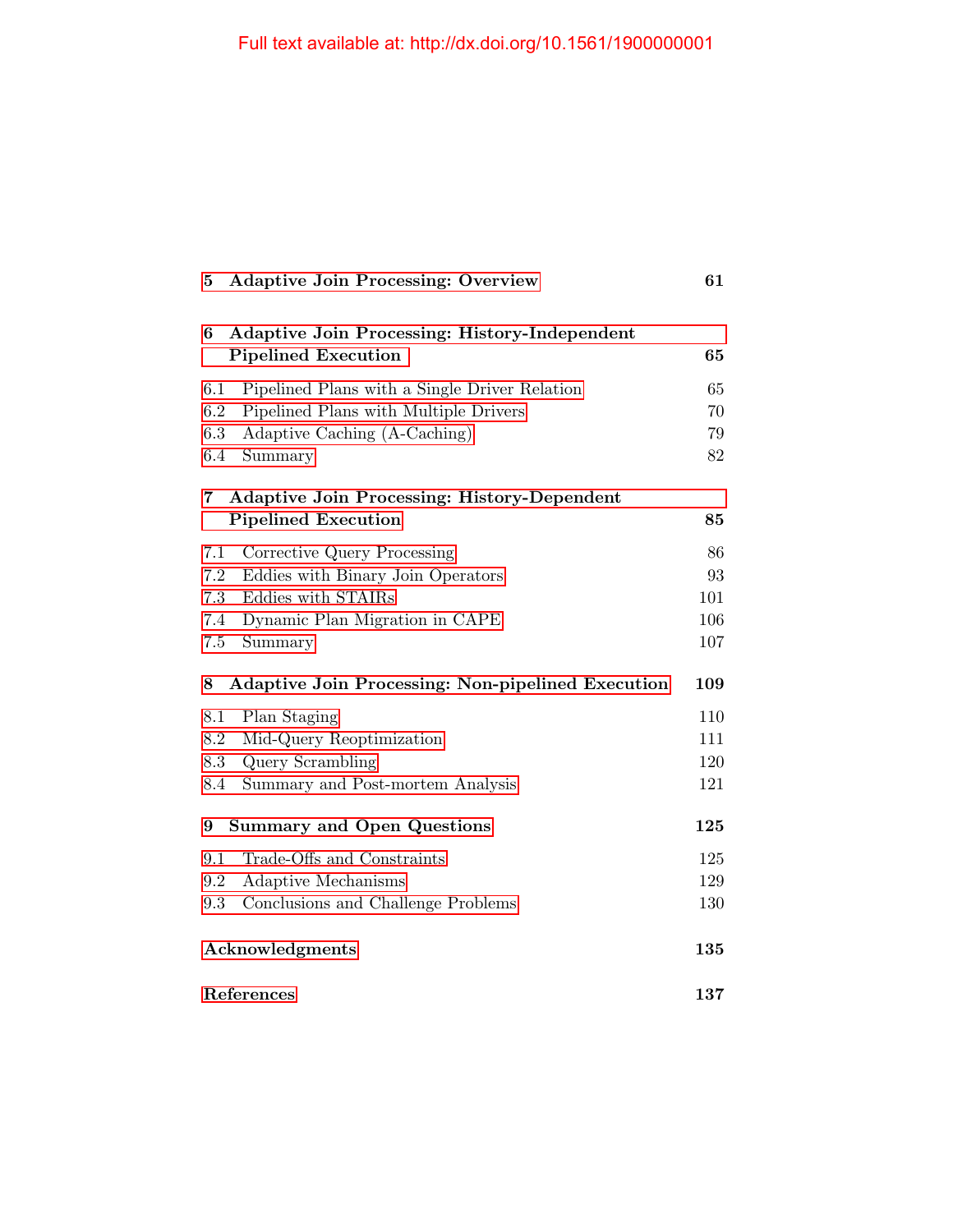| 5                                                                                       | <b>Adaptive Join Processing: Overview</b>     | 61  |  |
|-----------------------------------------------------------------------------------------|-----------------------------------------------|-----|--|
| <b>Adaptive Join Processing: History-Independent</b><br>6<br><b>Pipelined Execution</b> |                                               | 65  |  |
| 6.1                                                                                     | Pipelined Plans with a Single Driver Relation | 65  |  |
| 6.2                                                                                     | Pipelined Plans with Multiple Drivers         | 70  |  |
| 6.3                                                                                     | Adaptive Caching (A-Caching)                  | 79  |  |
| 6.4                                                                                     | Summary                                       | 82  |  |
| <b>Adaptive Join Processing: History-Dependent</b><br>$\overline{7}$                    |                                               |     |  |
|                                                                                         | <b>Pipelined Execution</b>                    | 85  |  |
| 7.1                                                                                     | Corrective Query Processing                   | 86  |  |
| 7.2                                                                                     | Eddies with Binary Join Operators             | 93  |  |
| 7.3                                                                                     | Eddies with STAIRs                            | 101 |  |
| 7.4                                                                                     | Dynamic Plan Migration in CAPE                | 106 |  |
| 7.5                                                                                     | Summary                                       | 107 |  |
| <b>Adaptive Join Processing: Non-pipelined Execution</b><br>109<br>8                    |                                               |     |  |
| 8.1                                                                                     | Plan Staging                                  | 110 |  |
| 8.2                                                                                     | Mid-Query Reoptimization                      | 111 |  |
| 8.3                                                                                     | Query Scrambling                              | 120 |  |
| 8.4                                                                                     | Summary and Post-mortem Analysis              | 121 |  |
| <b>Summary and Open Questions</b><br>9                                                  |                                               | 125 |  |
| 9.1                                                                                     | Trade-Offs and Constraints                    | 125 |  |
| 9.2                                                                                     | Adaptive Mechanisms                           | 129 |  |
| 9.3                                                                                     | Conclusions and Challenge Problems            | 130 |  |
| Acknowledgments                                                                         |                                               | 135 |  |
| References                                                                              |                                               | 137 |  |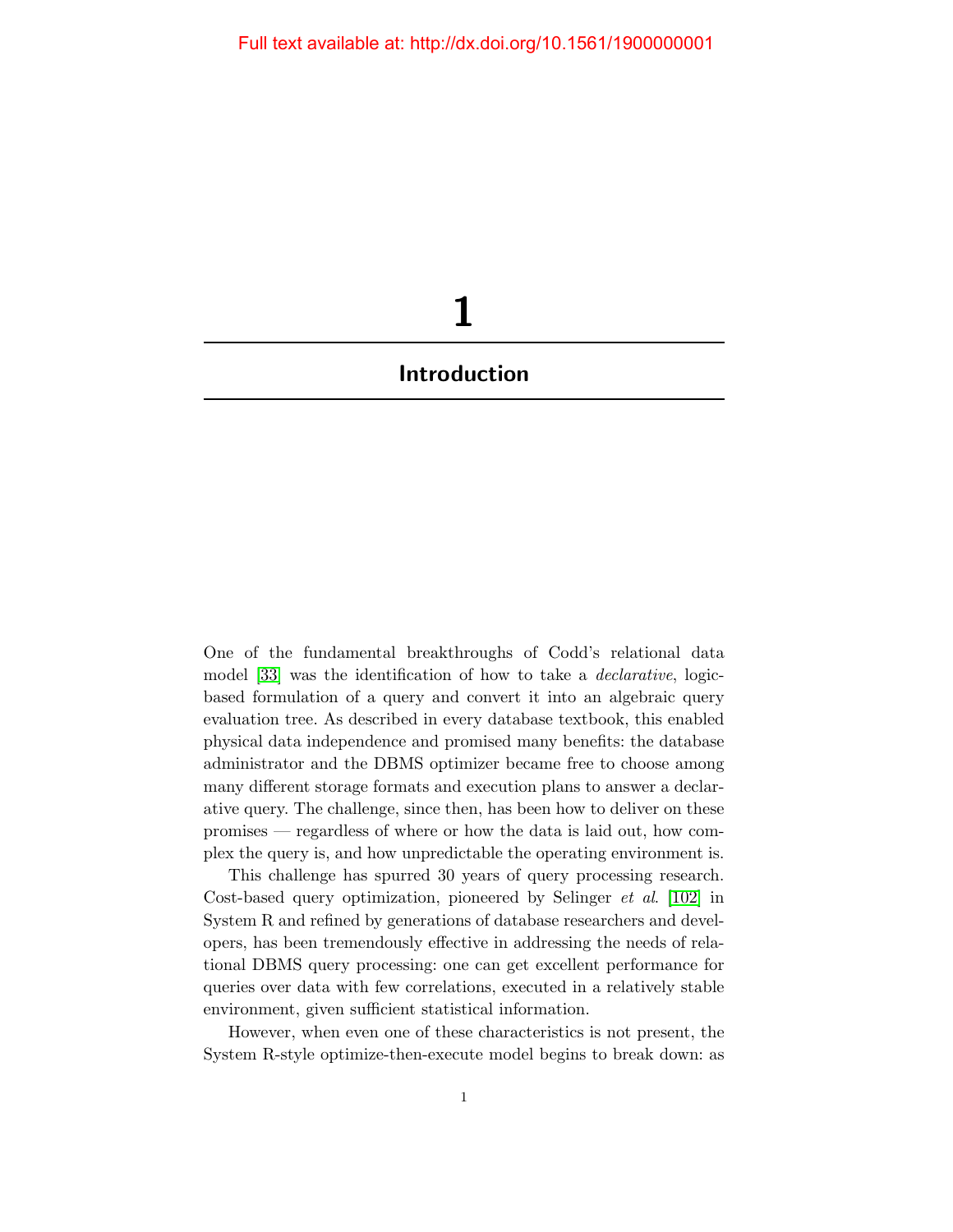## 1

### <span id="page-8-0"></span>Introduction

One of the fundamental breakthroughs of Codd's relational data model [\[33\]](#page-19-0) was the identification of how to take a declarative, logicbased formulation of a query and convert it into an algebraic query evaluation tree. As described in every database textbook, this enabled physical data independence and promised many benefits: the database administrator and the DBMS optimizer became free to choose among many different storage formats and execution plans to answer a declarative query. The challenge, since then, has been how to deliver on these promises — regardless of where or how the data is laid out, how complex the query is, and how unpredictable the operating environment is.

This challenge has spurred 30 years of query processing research. Cost-based query optimization, pioneered by Selinger et al. [\[102\]](#page-24-0) in System R and refined by generations of database researchers and developers, has been tremendously effective in addressing the needs of relational DBMS query processing: one can get excellent performance for queries over data with few correlations, executed in a relatively stable environment, given sufficient statistical information.

However, when even one of these characteristics is not present, the System R-style optimize-then-execute model begins to break down: as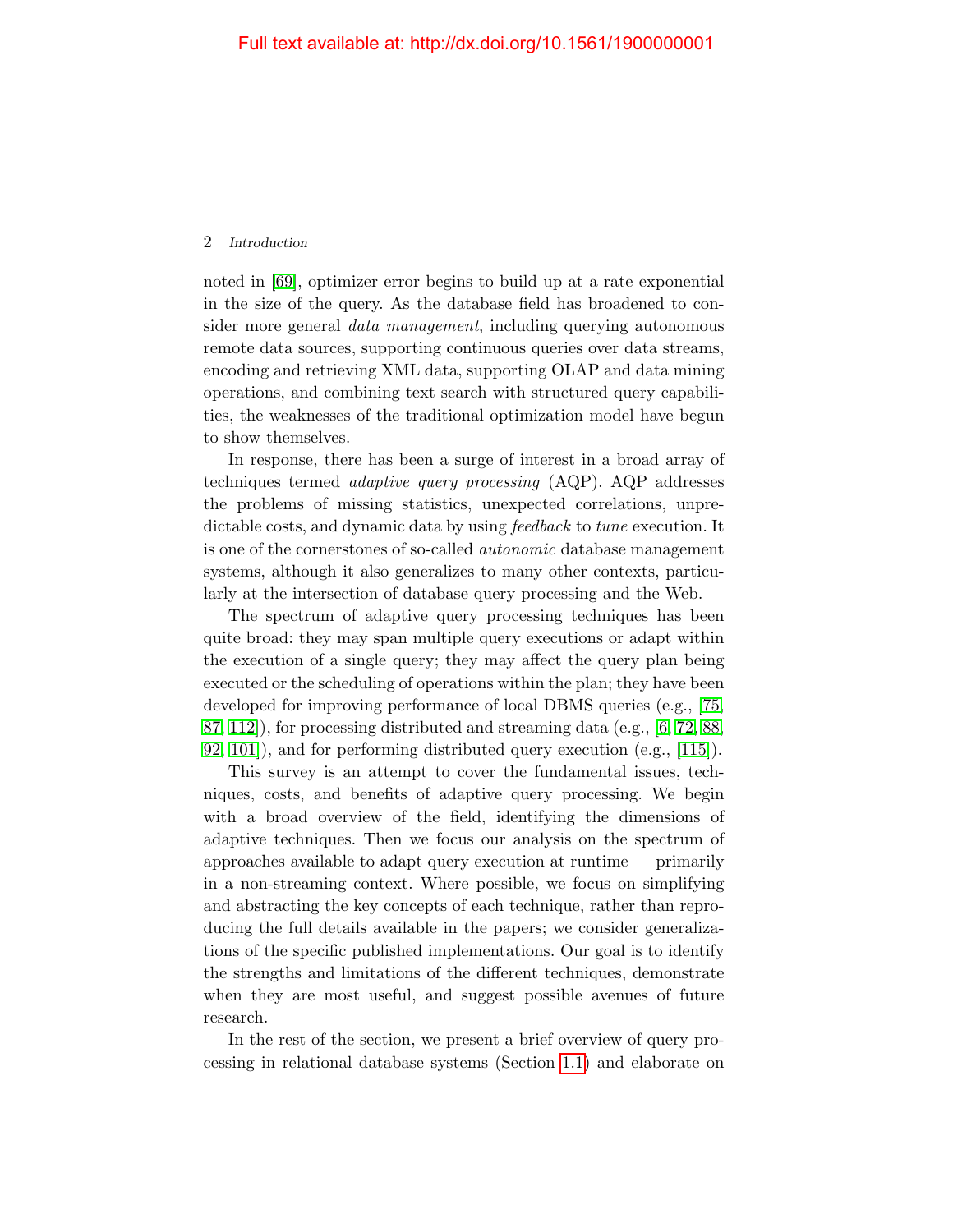#### 2 Introduction

noted in [\[69\]](#page-21-0), optimizer error begins to build up at a rate exponential in the size of the query. As the database field has broadened to consider more general *data management*, including querying autonomous remote data sources, supporting continuous queries over data streams, encoding and retrieving XML data, supporting OLAP and data mining operations, and combining text search with structured query capabilities, the weaknesses of the traditional optimization model have begun to show themselves.

In response, there has been a surge of interest in a broad array of techniques termed adaptive query processing (AQP). AQP addresses the problems of missing statistics, unexpected correlations, unpredictable costs, and dynamic data by using feedback to tune execution. It is one of the cornerstones of so-called autonomic database management systems, although it also generalizes to many other contexts, particularly at the intersection of database query processing and the Web.

The spectrum of adaptive query processing techniques has been quite broad: they may span multiple query executions or adapt within the execution of a single query; they may affect the query plan being executed or the scheduling of operations within the plan; they have been developed for improving performance of local DBMS queries (e.g., [\[75,](#page-22-0) [87,](#page-23-0) [112\]](#page-24-1)), for processing distributed and streaming data (e.g., [\[6,](#page-16-1) [72,](#page-21-1) [88,](#page-23-1) [92,](#page-23-2) [101\]](#page-24-2)), and for performing distributed query execution (e.g., [\[115\]](#page-25-0)).

This survey is an attempt to cover the fundamental issues, techniques, costs, and benefits of adaptive query processing. We begin with a broad overview of the field, identifying the dimensions of adaptive techniques. Then we focus our analysis on the spectrum of approaches available to adapt query execution at runtime — primarily in a non-streaming context. Where possible, we focus on simplifying and abstracting the key concepts of each technique, rather than reproducing the full details available in the papers; we consider generalizations of the specific published implementations. Our goal is to identify the strengths and limitations of the different techniques, demonstrate when they are most useful, and suggest possible avenues of future research.

In the rest of the section, we present a brief overview of query processing in relational database systems (Section [1.1\)](#page-10-0) and elaborate on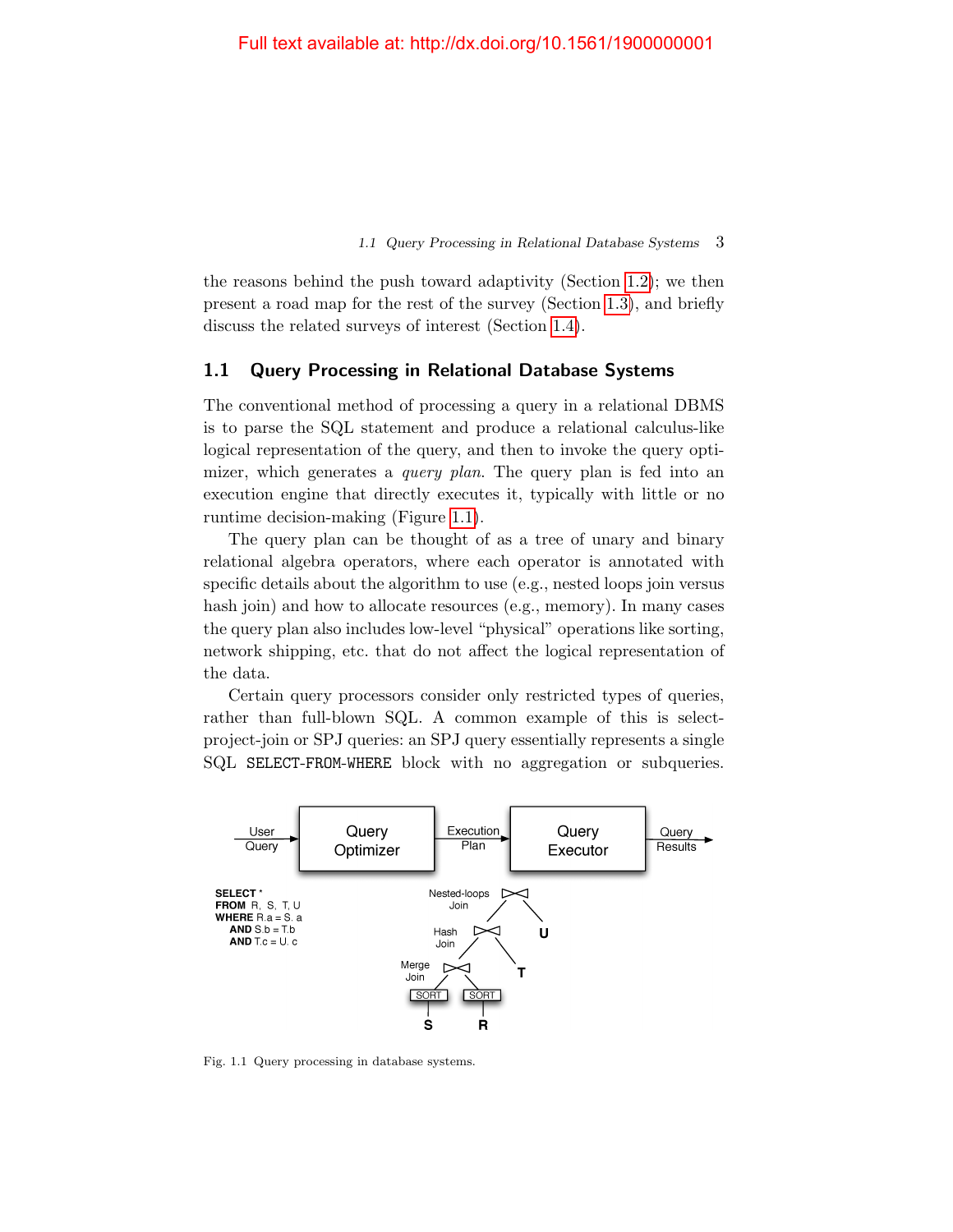1.1 Query Processing in Relational Database Systems 3

the reasons behind the push toward adaptivity (Section [1.2\)](#page-12-0); we then present a road map for the rest of the survey (Section [1.3\)](#page-15-0), and briefly discuss the related surveys of interest (Section [1.4\)](#page-15-1).

#### <span id="page-10-0"></span>1.1 Query Processing in Relational Database Systems

The conventional method of processing a query in a relational DBMS is to parse the SQL statement and produce a relational calculus-like logical representation of the query, and then to invoke the query optimizer, which generates a *query plan*. The query plan is fed into an execution engine that directly executes it, typically with little or no runtime decision-making (Figure [1.1\)](#page-10-1).

The query plan can be thought of as a tree of unary and binary relational algebra operators, where each operator is annotated with specific details about the algorithm to use (e.g., nested loops join versus hash join) and how to allocate resources (e.g., memory). In many cases the query plan also includes low-level "physical" operations like sorting, network shipping, etc. that do not affect the logical representation of the data.

Certain query processors consider only restricted types of queries, rather than full-blown SQL. A common example of this is selectproject-join or SPJ queries: an SPJ query essentially represents a single SQL SELECT-FROM-WHERE block with no aggregation or subqueries.



<span id="page-10-1"></span>Fig. 1.1 Query processing in database systems.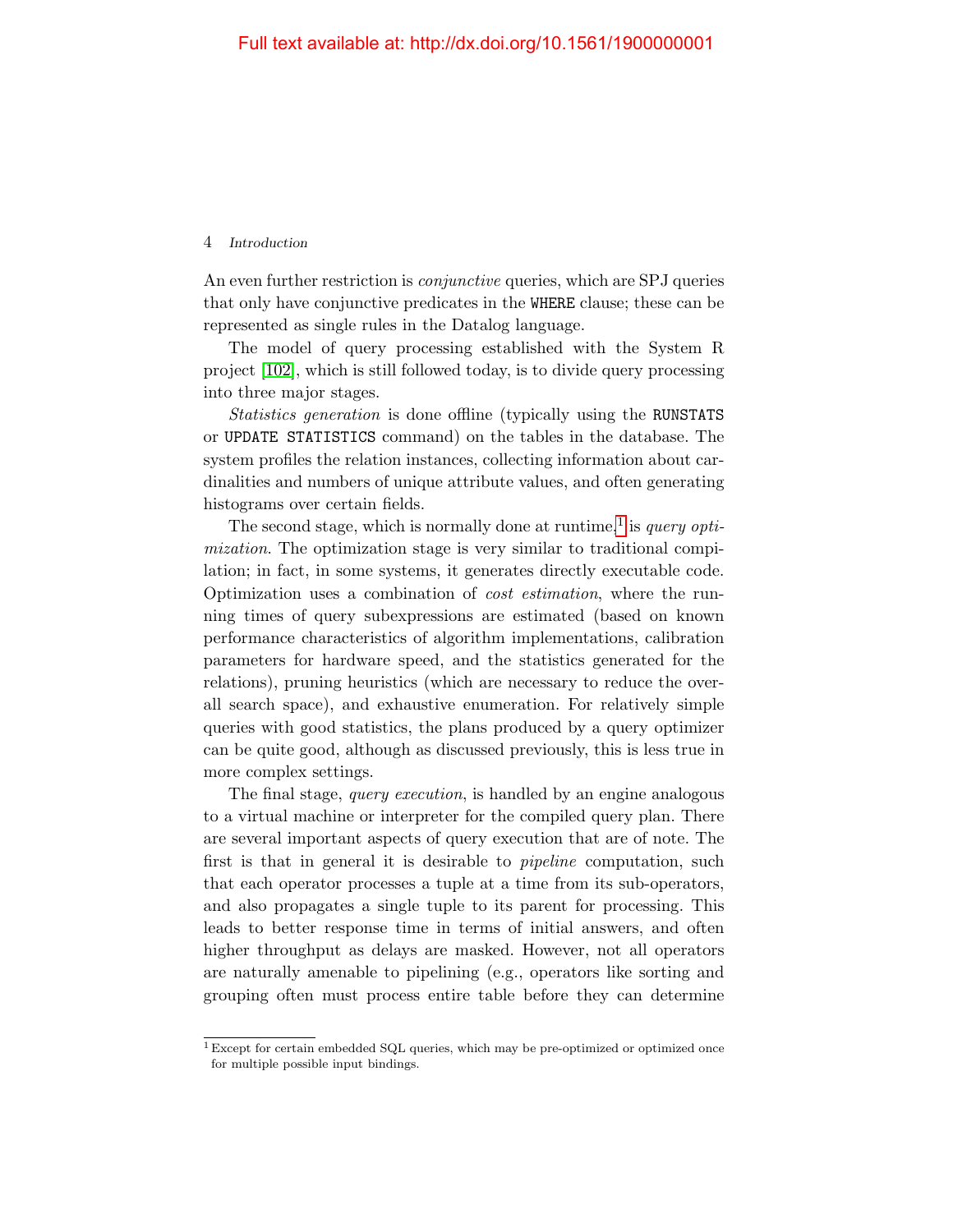#### 4 Introduction

An even further restriction is conjunctive queries, which are SPJ queries that only have conjunctive predicates in the WHERE clause; these can be represented as single rules in the Datalog language.

The model of query processing established with the System R project [\[102\]](#page-24-0), which is still followed today, is to divide query processing into three major stages.

Statistics generation is done offline (typically using the RUNSTATS or UPDATE STATISTICS command) on the tables in the database. The system profiles the relation instances, collecting information about cardinalities and numbers of unique attribute values, and often generating histograms over certain fields.

The second stage, which is normally done at runtime,<sup>[1](#page-11-0)</sup> is *query opti*mization. The optimization stage is very similar to traditional compilation; in fact, in some systems, it generates directly executable code. Optimization uses a combination of cost estimation, where the running times of query subexpressions are estimated (based on known performance characteristics of algorithm implementations, calibration parameters for hardware speed, and the statistics generated for the relations), pruning heuristics (which are necessary to reduce the overall search space), and exhaustive enumeration. For relatively simple queries with good statistics, the plans produced by a query optimizer can be quite good, although as discussed previously, this is less true in more complex settings.

The final stage, *query execution*, is handled by an engine analogous to a virtual machine or interpreter for the compiled query plan. There are several important aspects of query execution that are of note. The first is that in general it is desirable to *pipeline* computation, such that each operator processes a tuple at a time from its sub-operators, and also propagates a single tuple to its parent for processing. This leads to better response time in terms of initial answers, and often higher throughput as delays are masked. However, not all operators are naturally amenable to pipelining (e.g., operators like sorting and grouping often must process entire table before they can determine

<span id="page-11-0"></span><sup>&</sup>lt;sup>1</sup> Except for certain embedded SQL queries, which may be pre-optimized or optimized once for multiple possible input bindings.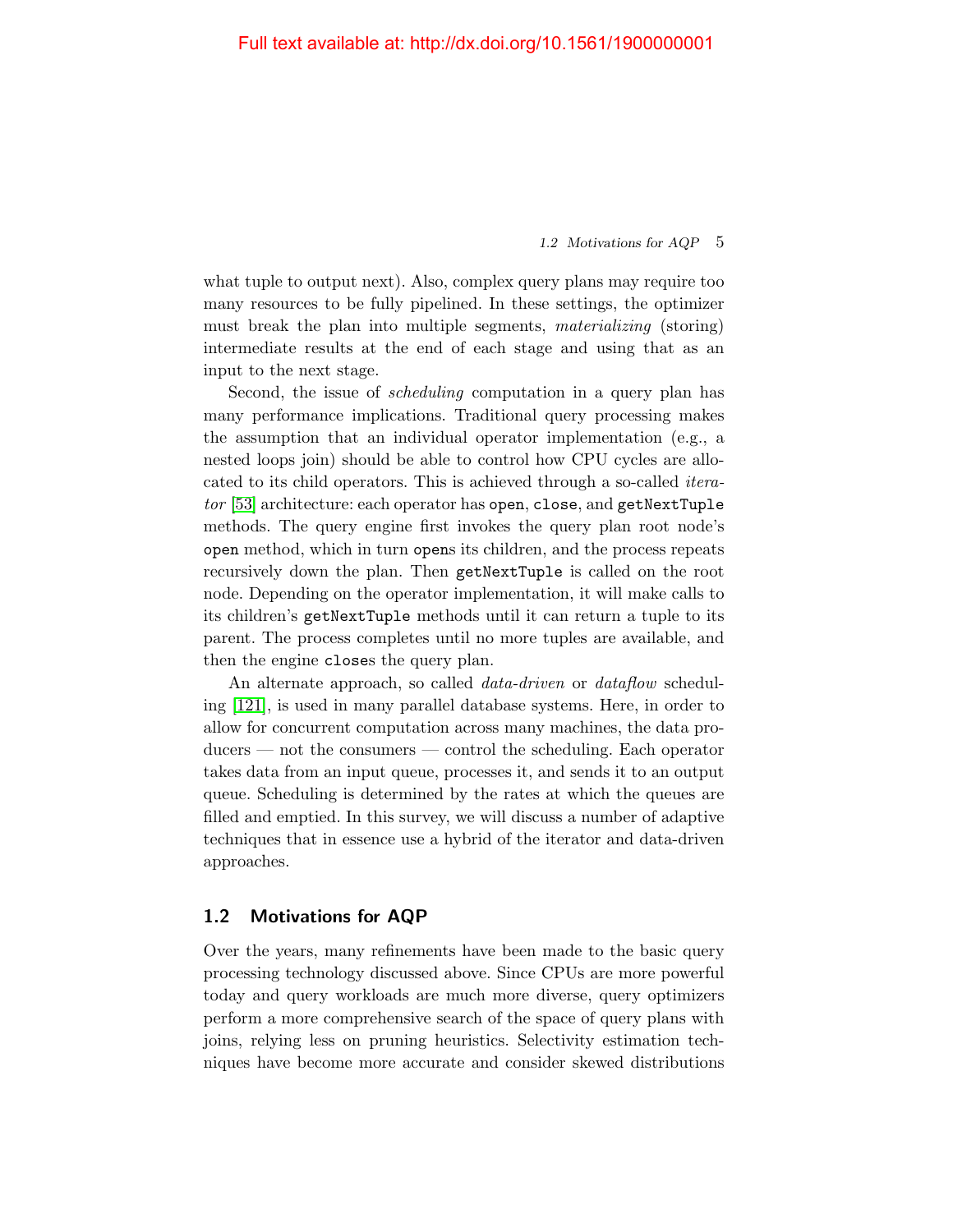#### 1.2 Motivations for AQP 5

what tuple to output next). Also, complex query plans may require too many resources to be fully pipelined. In these settings, the optimizer must break the plan into multiple segments, materializing (storing) intermediate results at the end of each stage and using that as an input to the next stage.

Second, the issue of *scheduling* computation in a query plan has many performance implications. Traditional query processing makes the assumption that an individual operator implementation (e.g., a nested loops join) should be able to control how CPU cycles are allocated to its child operators. This is achieved through a so-called itera-tor [\[53\]](#page-20-0) architecture: each operator has open, close, and getNextTuple methods. The query engine first invokes the query plan root node's open method, which in turn opens its children, and the process repeats recursively down the plan. Then getNextTuple is called on the root node. Depending on the operator implementation, it will make calls to its children's getNextTuple methods until it can return a tuple to its parent. The process completes until no more tuples are available, and then the engine closes the query plan.

An alternate approach, so called *data-driven* or *dataflow* scheduling [\[121\]](#page-25-1), is used in many parallel database systems. Here, in order to allow for concurrent computation across many machines, the data producers — not the consumers — control the scheduling. Each operator takes data from an input queue, processes it, and sends it to an output queue. Scheduling is determined by the rates at which the queues are filled and emptied. In this survey, we will discuss a number of adaptive techniques that in essence use a hybrid of the iterator and data-driven approaches.

#### <span id="page-12-0"></span>1.2 Motivations for AQP

Over the years, many refinements have been made to the basic query processing technology discussed above. Since CPUs are more powerful today and query workloads are much more diverse, query optimizers perform a more comprehensive search of the space of query plans with joins, relying less on pruning heuristics. Selectivity estimation techniques have become more accurate and consider skewed distributions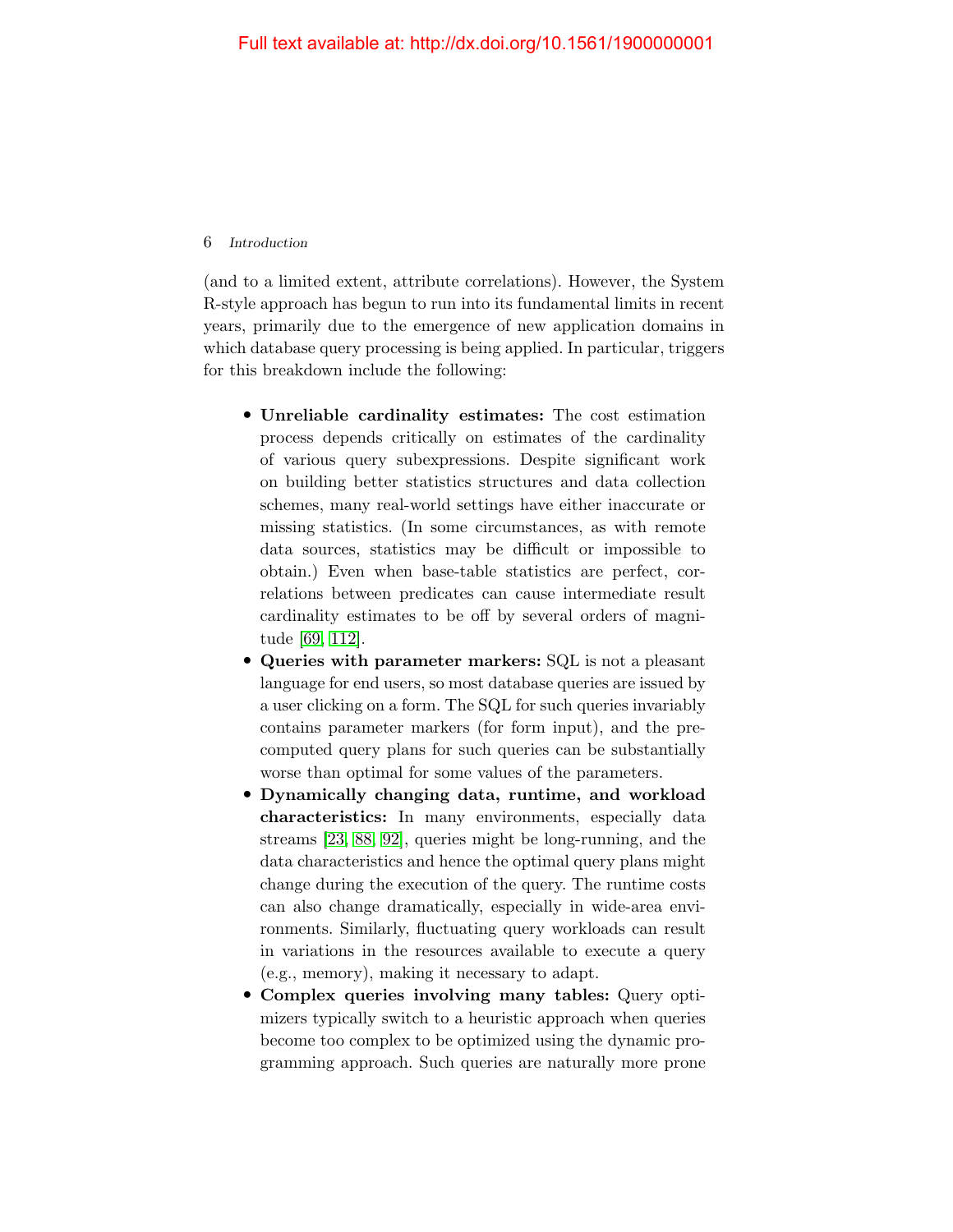#### 6 Introduction

(and to a limited extent, attribute correlations). However, the System R-style approach has begun to run into its fundamental limits in recent years, primarily due to the emergence of new application domains in which database query processing is being applied. In particular, triggers for this breakdown include the following:

- Unreliable cardinality estimates: The cost estimation process depends critically on estimates of the cardinality of various query subexpressions. Despite significant work on building better statistics structures and data collection schemes, many real-world settings have either inaccurate or missing statistics. (In some circumstances, as with remote data sources, statistics may be difficult or impossible to obtain.) Even when base-table statistics are perfect, correlations between predicates can cause intermediate result cardinality estimates to be off by several orders of magnitude [\[69,](#page-21-0) [112\]](#page-24-1).
- Queries with parameter markers: SQL is not a pleasant language for end users, so most database queries are issued by a user clicking on a form. The SQL for such queries invariably contains parameter markers (for form input), and the precomputed query plans for such queries can be substantially worse than optimal for some values of the parameters.
- Dynamically changing data, runtime, and workload characteristics: In many environments, especially data streams [\[23,](#page-18-0) [88,](#page-23-1) [92\]](#page-23-2), queries might be long-running, and the data characteristics and hence the optimal query plans might change during the execution of the query. The runtime costs can also change dramatically, especially in wide-area environments. Similarly, fluctuating query workloads can result in variations in the resources available to execute a query (e.g., memory), making it necessary to adapt.
- Complex queries involving many tables: Query optimizers typically switch to a heuristic approach when queries become too complex to be optimized using the dynamic programming approach. Such queries are naturally more prone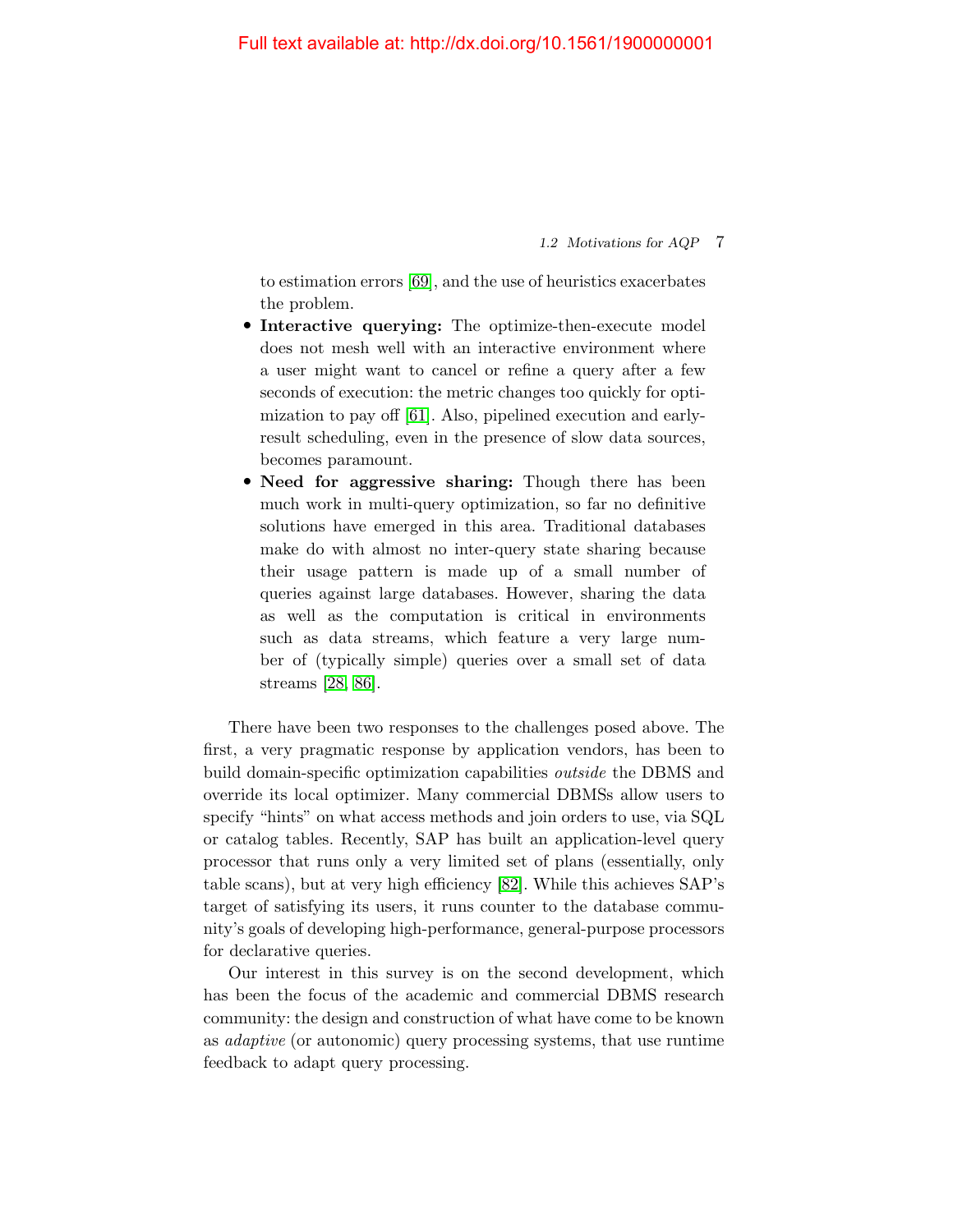1.2 Motivations for AQP 7

to estimation errors [\[69\]](#page-21-0), and the use of heuristics exacerbates the problem.

- Interactive querying: The optimize-then-execute model does not mesh well with an interactive environment where a user might want to cancel or refine a query after a few seconds of execution: the metric changes too quickly for optimization to pay off [\[61\]](#page-21-2). Also, pipelined execution and earlyresult scheduling, even in the presence of slow data sources, becomes paramount.
- Need for aggressive sharing: Though there has been much work in multi-query optimization, so far no definitive solutions have emerged in this area. Traditional databases make do with almost no inter-query state sharing because their usage pattern is made up of a small number of queries against large databases. However, sharing the data as well as the computation is critical in environments such as data streams, which feature a very large number of (typically simple) queries over a small set of data streams [\[28,](#page-18-1) [86\]](#page-22-1).

There have been two responses to the challenges posed above. The first, a very pragmatic response by application vendors, has been to build domain-specific optimization capabilities outside the DBMS and override its local optimizer. Many commercial DBMSs allow users to specify "hints" on what access methods and join orders to use, via SQL or catalog tables. Recently, SAP has built an application-level query processor that runs only a very limited set of plans (essentially, only table scans), but at very high efficiency [\[82\]](#page-22-2). While this achieves SAP's target of satisfying its users, it runs counter to the database community's goals of developing high-performance, general-purpose processors for declarative queries.

Our interest in this survey is on the second development, which has been the focus of the academic and commercial DBMS research community: the design and construction of what have come to be known as adaptive (or autonomic) query processing systems, that use runtime feedback to adapt query processing.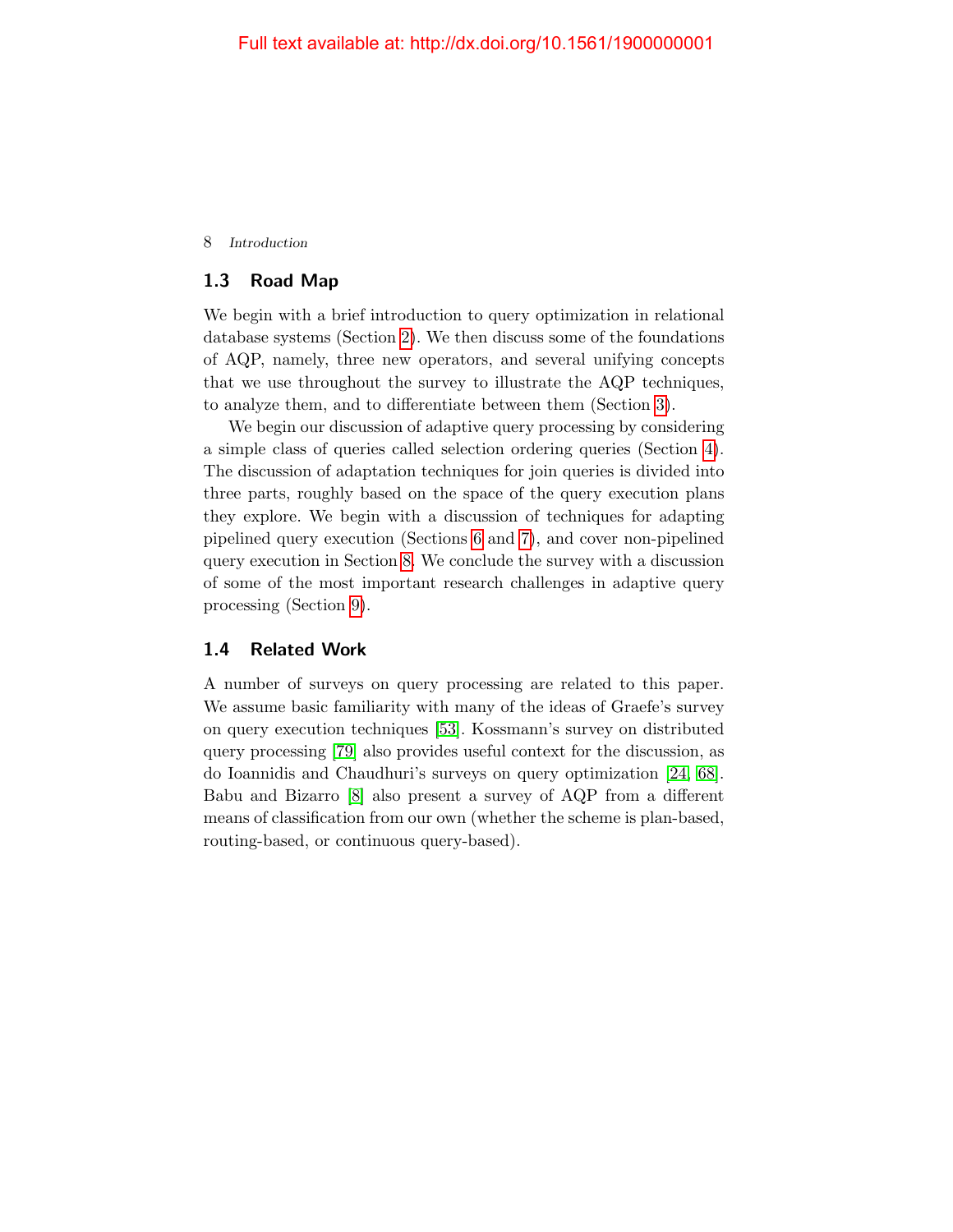#### 8 Introduction

#### <span id="page-15-0"></span>1.3 Road Map

We begin with a brief introduction to query optimization in relational database systems (Section [2\)](#page--1-0). We then discuss some of the foundations of AQP, namely, three new operators, and several unifying concepts that we use throughout the survey to illustrate the AQP techniques, to analyze them, and to differentiate between them (Section [3\)](#page--1-0).

We begin our discussion of adaptive query processing by considering a simple class of queries called selection ordering queries (Section [4\)](#page--1-0). The discussion of adaptation techniques for join queries is divided into three parts, roughly based on the space of the query execution plans they explore. We begin with a discussion of techniques for adapting pipelined query execution (Sections [6](#page--1-0) and [7\)](#page--1-0), and cover non-pipelined query execution in Section [8.](#page--1-0) We conclude the survey with a discussion of some of the most important research challenges in adaptive query processing (Section [9\)](#page--1-0).

#### <span id="page-15-1"></span>1.4 Related Work

A number of surveys on query processing are related to this paper. We assume basic familiarity with many of the ideas of Graefe's survey on query execution techniques [\[53\]](#page-20-0). Kossmann's survey on distributed query processing [\[79\]](#page-22-3) also provides useful context for the discussion, as do Ioannidis and Chaudhuri's surveys on query optimization [\[24,](#page-18-2) [68\]](#page-21-3). Babu and Bizarro [\[8\]](#page-17-0) also present a survey of AQP from a different means of classification from our own (whether the scheme is plan-based, routing-based, or continuous query-based).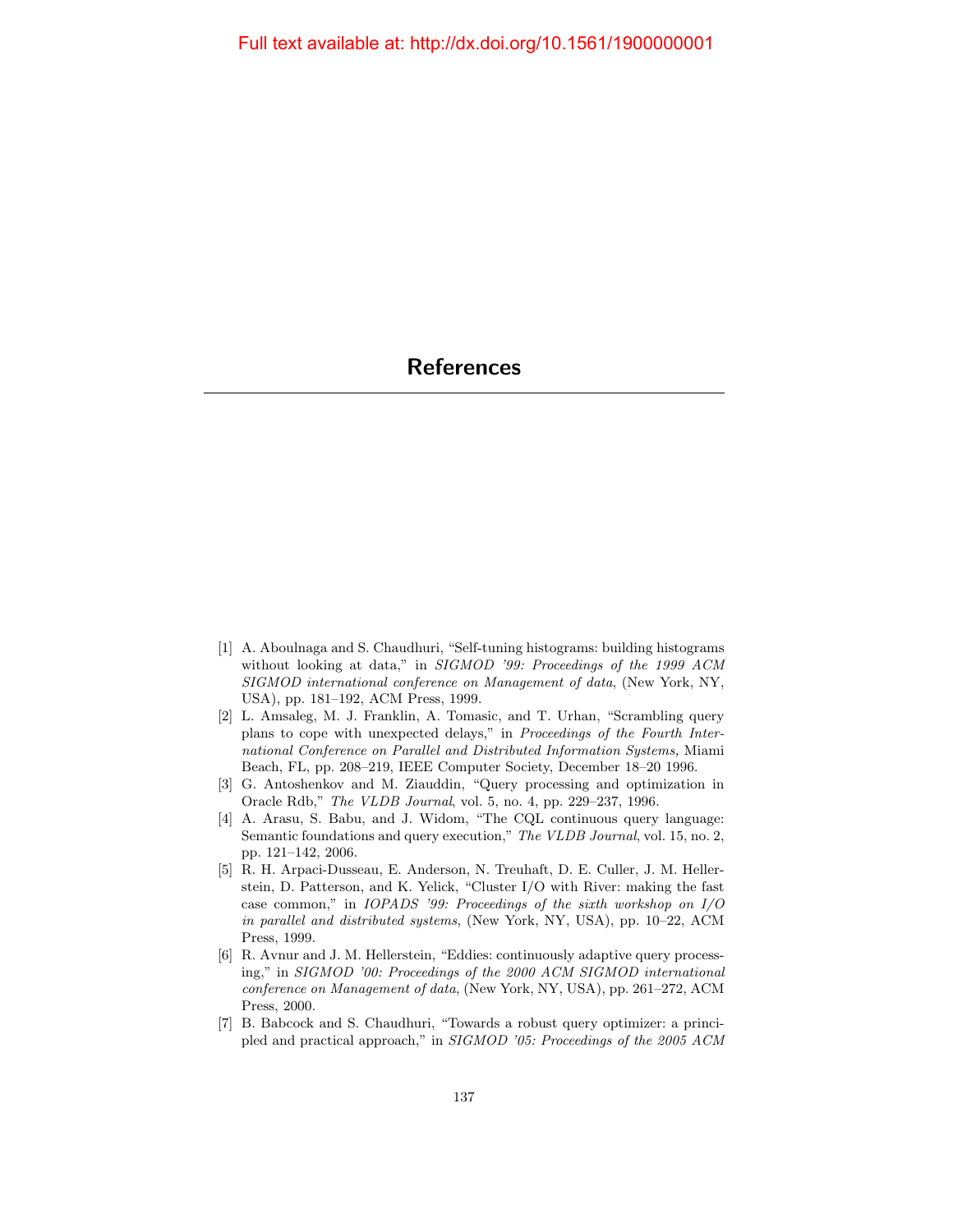- <span id="page-16-0"></span>[1] A. Aboulnaga and S. Chaudhuri, "Self-tuning histograms: building histograms without looking at data," in SIGMOD '99: Proceedings of the 1999 ACM SIGMOD international conference on Management of data, (New York, NY, USA), pp. 181–192, ACM Press, 1999.
- [2] L. Amsaleg, M. J. Franklin, A. Tomasic, and T. Urhan, "Scrambling query plans to cope with unexpected delays," in Proceedings of the Fourth International Conference on Parallel and Distributed Information Systems, Miami Beach, FL, pp. 208–219, IEEE Computer Society, December 18–20 1996.
- [3] G. Antoshenkov and M. Ziauddin, "Query processing and optimization in Oracle Rdb," The VLDB Journal, vol. 5, no. 4, pp. 229–237, 1996.
- [4] A. Arasu, S. Babu, and J. Widom, "The CQL continuous query language: Semantic foundations and query execution," The VLDB Journal, vol. 15, no. 2, pp. 121–142, 2006.
- [5] R. H. Arpaci-Dusseau, E. Anderson, N. Treuhaft, D. E. Culler, J. M. Hellerstein, D. Patterson, and K. Yelick, "Cluster I/O with River: making the fast case common," in IOPADS '99: Proceedings of the sixth workshop on  $I/O$ in parallel and distributed systems, (New York, NY, USA), pp. 10–22, ACM Press, 1999.
- <span id="page-16-1"></span>[6] R. Avnur and J. M. Hellerstein, "Eddies: continuously adaptive query processing," in SIGMOD '00: Proceedings of the 2000 ACM SIGMOD international conference on Management of data, (New York, NY, USA), pp. 261–272, ACM Press, 2000.
- [7] B. Babcock and S. Chaudhuri, "Towards a robust query optimizer: a principled and practical approach," in SIGMOD '05: Proceedings of the 2005 ACM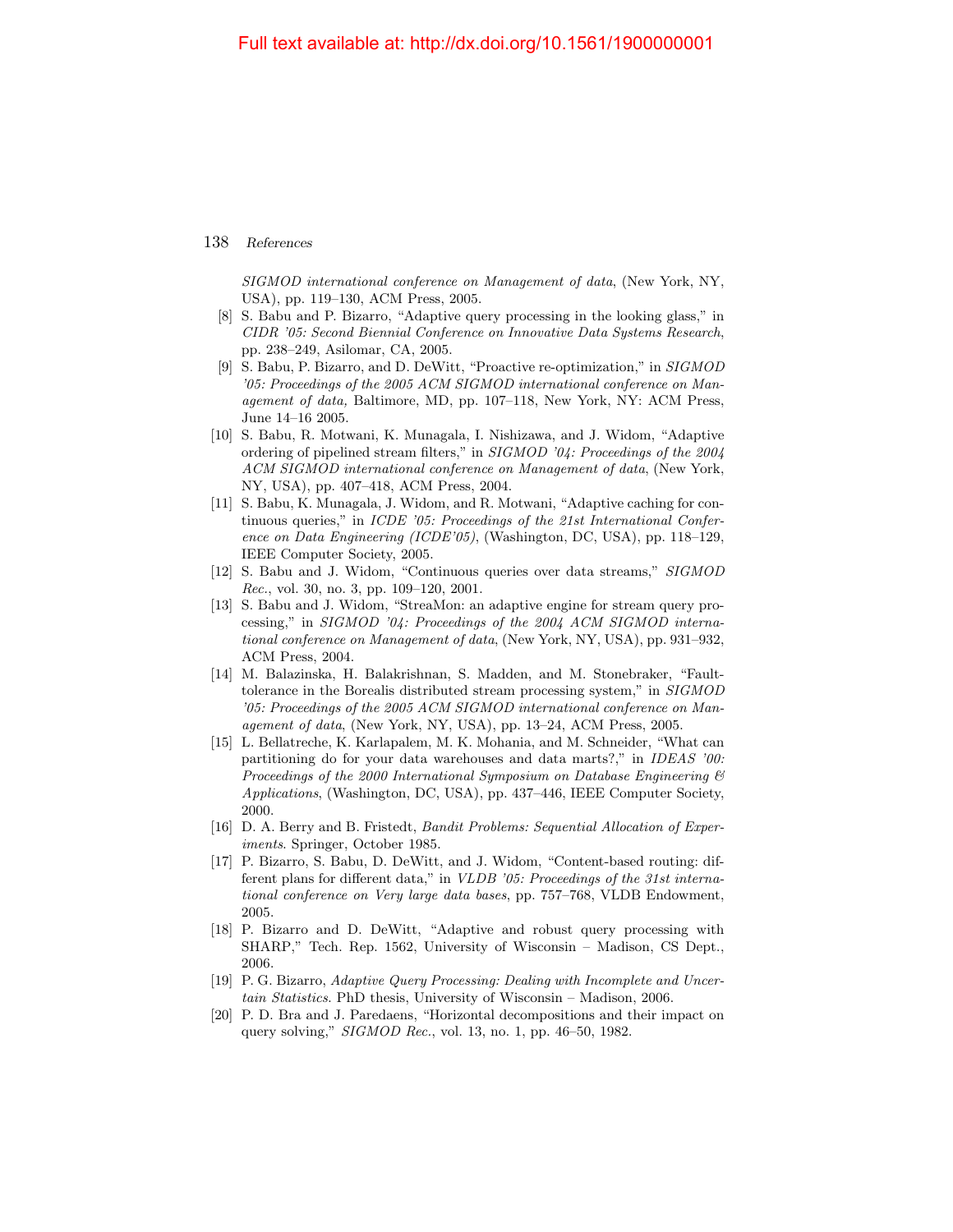SIGMOD international conference on Management of data, (New York, NY, USA), pp. 119–130, ACM Press, 2005.

- <span id="page-17-0"></span>[8] S. Babu and P. Bizarro, "Adaptive query processing in the looking glass," in CIDR '05: Second Biennial Conference on Innovative Data Systems Research, pp. 238–249, Asilomar, CA, 2005.
- [9] S. Babu, P. Bizarro, and D. DeWitt, "Proactive re-optimization," in SIGMOD '05: Proceedings of the 2005 ACM SIGMOD international conference on Management of data, Baltimore, MD, pp. 107–118, New York, NY: ACM Press, June 14–16 2005.
- [10] S. Babu, R. Motwani, K. Munagala, I. Nishizawa, and J. Widom, "Adaptive ordering of pipelined stream filters," in SIGMOD '04: Proceedings of the 2004 ACM SIGMOD international conference on Management of data, (New York, NY, USA), pp. 407–418, ACM Press, 2004.
- [11] S. Babu, K. Munagala, J. Widom, and R. Motwani, "Adaptive caching for continuous queries," in ICDE '05: Proceedings of the 21st International Conference on Data Engineering (ICDE'05), (Washington, DC, USA), pp. 118–129, IEEE Computer Society, 2005.
- [12] S. Babu and J. Widom, "Continuous queries over data streams," SIGMOD Rec., vol. 30, no. 3, pp. 109–120, 2001.
- [13] S. Babu and J. Widom, "StreaMon: an adaptive engine for stream query processing," in SIGMOD '04: Proceedings of the 2004 ACM SIGMOD international conference on Management of data, (New York, NY, USA), pp. 931–932, ACM Press, 2004.
- [14] M. Balazinska, H. Balakrishnan, S. Madden, and M. Stonebraker, "Faulttolerance in the Borealis distributed stream processing system," in SIGMOD '05: Proceedings of the 2005 ACM SIGMOD international conference on Management of data, (New York, NY, USA), pp. 13–24, ACM Press, 2005.
- [15] L. Bellatreche, K. Karlapalem, M. K. Mohania, and M. Schneider, "What can partitioning do for your data warehouses and data marts?," in IDEAS '00: Proceedings of the 2000 International Symposium on Database Engineering & Applications, (Washington, DC, USA), pp. 437–446, IEEE Computer Society, 2000.
- [16] D. A. Berry and B. Fristedt, Bandit Problems: Sequential Allocation of Experiments. Springer, October 1985.
- [17] P. Bizarro, S. Babu, D. DeWitt, and J. Widom, "Content-based routing: different plans for different data," in VLDB '05: Proceedings of the 31st international conference on Very large data bases, pp. 757–768, VLDB Endowment, 2005.
- [18] P. Bizarro and D. DeWitt, "Adaptive and robust query processing with SHARP," Tech. Rep. 1562, University of Wisconsin – Madison, CS Dept., 2006.
- [19] P. G. Bizarro, Adaptive Query Processing: Dealing with Incomplete and Uncertain Statistics. PhD thesis, University of Wisconsin – Madison, 2006.
- [20] P. D. Bra and J. Paredaens, "Horizontal decompositions and their impact on query solving," SIGMOD Rec., vol. 13, no. 1, pp. 46–50, 1982.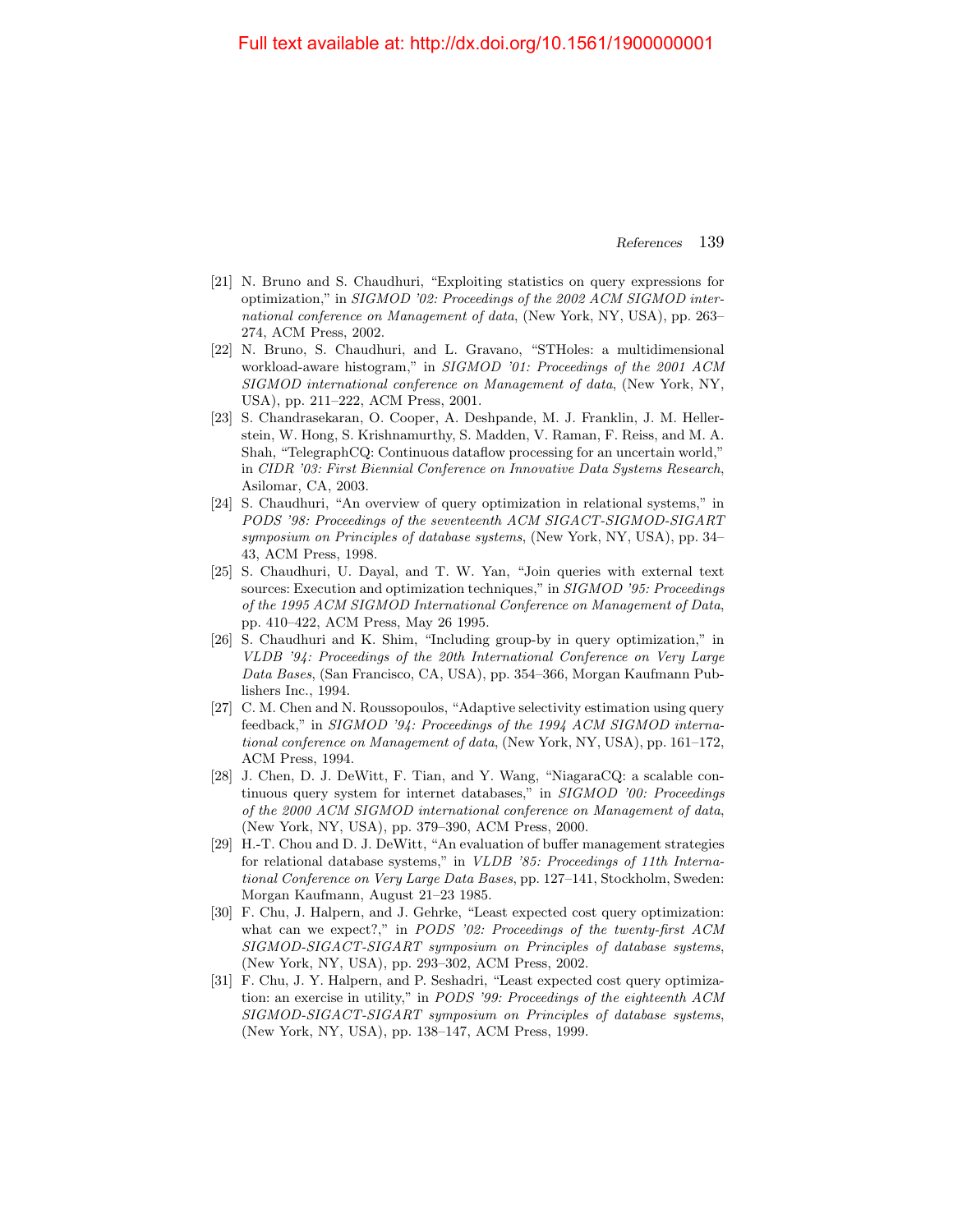- [21] N. Bruno and S. Chaudhuri, "Exploiting statistics on query expressions for optimization," in SIGMOD '02: Proceedings of the 2002 ACM SIGMOD international conference on Management of data, (New York, NY, USA), pp. 263– 274, ACM Press, 2002.
- [22] N. Bruno, S. Chaudhuri, and L. Gravano, "STHoles: a multidimensional workload-aware histogram," in SIGMOD '01: Proceedings of the 2001 ACM SIGMOD international conference on Management of data, (New York, NY, USA), pp. 211–222, ACM Press, 2001.
- <span id="page-18-0"></span>[23] S. Chandrasekaran, O. Cooper, A. Deshpande, M. J. Franklin, J. M. Hellerstein, W. Hong, S. Krishnamurthy, S. Madden, V. Raman, F. Reiss, and M. A. Shah, "TelegraphCQ: Continuous dataflow processing for an uncertain world," in CIDR '03: First Biennial Conference on Innovative Data Systems Research, Asilomar, CA, 2003.
- <span id="page-18-2"></span>[24] S. Chaudhuri, "An overview of query optimization in relational systems," in PODS '98: Proceedings of the seventeenth ACM SIGACT-SIGMOD-SIGART symposium on Principles of database systems, (New York, NY, USA), pp. 34– 43, ACM Press, 1998.
- [25] S. Chaudhuri, U. Dayal, and T. W. Yan, "Join queries with external text sources: Execution and optimization techniques," in SIGMOD '95: Proceedings of the 1995 ACM SIGMOD International Conference on Management of Data, pp. 410–422, ACM Press, May 26 1995.
- [26] S. Chaudhuri and K. Shim, "Including group-by in query optimization," in VLDB '94: Proceedings of the 20th International Conference on Very Large Data Bases, (San Francisco, CA, USA), pp. 354–366, Morgan Kaufmann Publishers Inc., 1994.
- [27] C. M. Chen and N. Roussopoulos, "Adaptive selectivity estimation using query feedback," in SIGMOD '94: Proceedings of the 1994 ACM SIGMOD international conference on Management of data, (New York, NY, USA), pp. 161–172, ACM Press, 1994.
- <span id="page-18-1"></span>[28] J. Chen, D. J. DeWitt, F. Tian, and Y. Wang, "NiagaraCQ: a scalable continuous query system for internet databases," in SIGMOD '00: Proceedings of the 2000 ACM SIGMOD international conference on Management of data, (New York, NY, USA), pp. 379–390, ACM Press, 2000.
- [29] H.-T. Chou and D. J. DeWitt, "An evaluation of buffer management strategies for relational database systems," in VLDB '85: Proceedings of 11th International Conference on Very Large Data Bases, pp. 127–141, Stockholm, Sweden: Morgan Kaufmann, August 21–23 1985.
- [30] F. Chu, J. Halpern, and J. Gehrke, "Least expected cost query optimization: what can we expect?," in PODS '02: Proceedings of the twenty-first ACM SIGMOD-SIGACT-SIGART symposium on Principles of database systems, (New York, NY, USA), pp. 293–302, ACM Press, 2002.
- [31] F. Chu, J. Y. Halpern, and P. Seshadri, "Least expected cost query optimization: an exercise in utility," in PODS '99: Proceedings of the eighteenth ACM SIGMOD-SIGACT-SIGART symposium on Principles of database systems, (New York, NY, USA), pp. 138–147, ACM Press, 1999.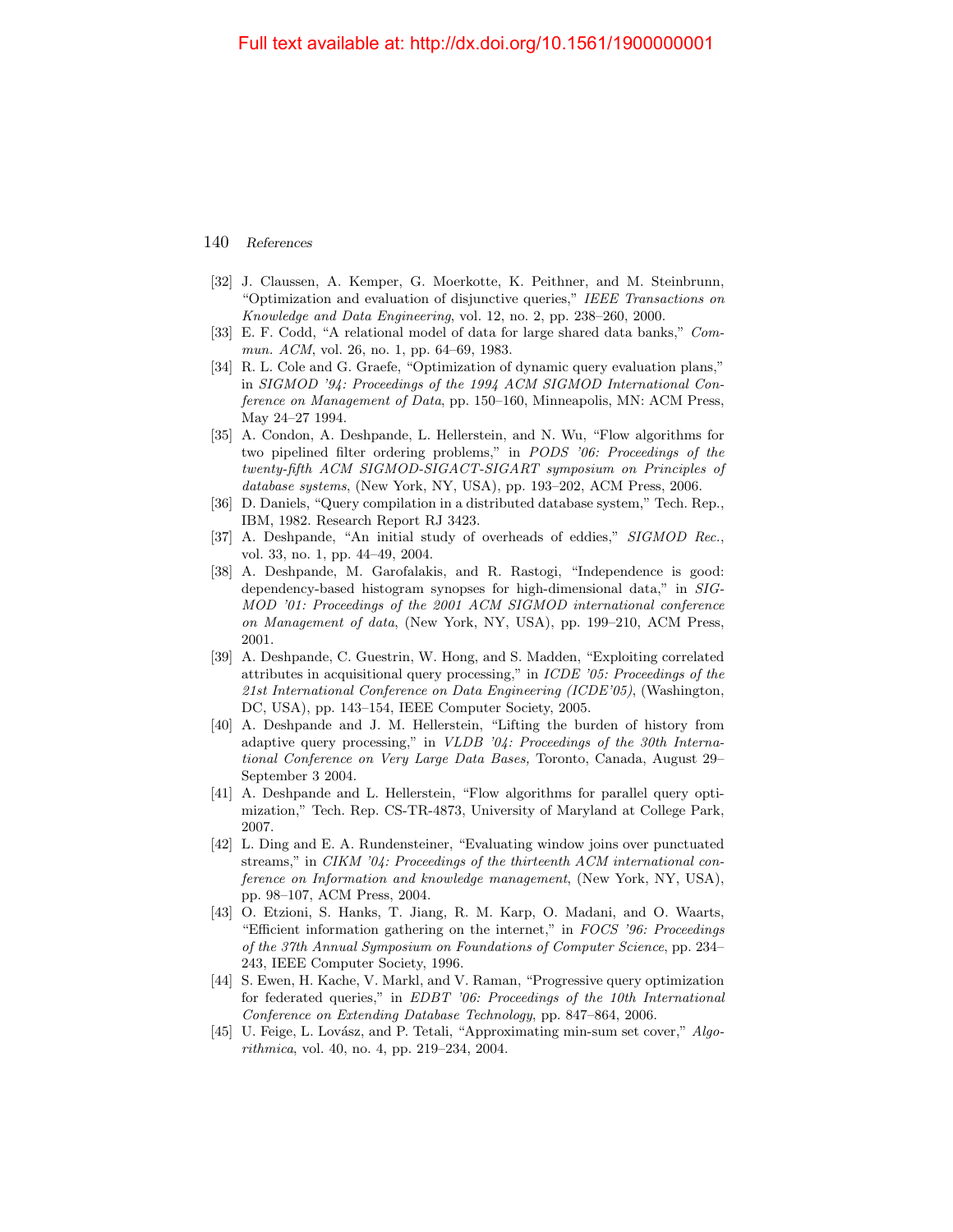- [32] J. Claussen, A. Kemper, G. Moerkotte, K. Peithner, and M. Steinbrunn, "Optimization and evaluation of disjunctive queries," IEEE Transactions on Knowledge and Data Engineering, vol. 12, no. 2, pp. 238–260, 2000.
- <span id="page-19-0"></span>[33] E. F. Codd, "A relational model of data for large shared data banks," Commun. ACM, vol. 26, no. 1, pp. 64–69, 1983.
- [34] R. L. Cole and G. Graefe, "Optimization of dynamic query evaluation plans," in SIGMOD '94: Proceedings of the 1994 ACM SIGMOD International Conference on Management of Data, pp. 150–160, Minneapolis, MN: ACM Press, May 24–27 1994.
- [35] A. Condon, A. Deshpande, L. Hellerstein, and N. Wu, "Flow algorithms for two pipelined filter ordering problems," in PODS '06: Proceedings of the twenty-fifth ACM SIGMOD-SIGACT-SIGART symposium on Principles of database systems, (New York, NY, USA), pp. 193–202, ACM Press, 2006.
- [36] D. Daniels, "Query compilation in a distributed database system," Tech. Rep., IBM, 1982. Research Report RJ 3423.
- [37] A. Deshpande, "An initial study of overheads of eddies," SIGMOD Rec., vol. 33, no. 1, pp. 44–49, 2004.
- [38] A. Deshpande, M. Garofalakis, and R. Rastogi, "Independence is good: dependency-based histogram synopses for high-dimensional data," in SIG-MOD '01: Proceedings of the 2001 ACM SIGMOD international conference on Management of data, (New York, NY, USA), pp. 199–210, ACM Press, 2001.
- [39] A. Deshpande, C. Guestrin, W. Hong, and S. Madden, "Exploiting correlated attributes in acquisitional query processing," in ICDE '05: Proceedings of the 21st International Conference on Data Engineering (ICDE'05), (Washington, DC, USA), pp. 143–154, IEEE Computer Society, 2005.
- [40] A. Deshpande and J. M. Hellerstein, "Lifting the burden of history from adaptive query processing," in VLDB '04: Proceedings of the 30th International Conference on Very Large Data Bases, Toronto, Canada, August 29– September 3 2004.
- [41] A. Deshpande and L. Hellerstein, "Flow algorithms for parallel query optimization," Tech. Rep. CS-TR-4873, University of Maryland at College Park, 2007.
- [42] L. Ding and E. A. Rundensteiner, "Evaluating window joins over punctuated streams," in CIKM '04: Proceedings of the thirteenth ACM international conference on Information and knowledge management, (New York, NY, USA), pp. 98–107, ACM Press, 2004.
- [43] O. Etzioni, S. Hanks, T. Jiang, R. M. Karp, O. Madani, and O. Waarts, "Efficient information gathering on the internet," in FOCS '96: Proceedings of the 37th Annual Symposium on Foundations of Computer Science, pp. 234– 243, IEEE Computer Society, 1996.
- [44] S. Ewen, H. Kache, V. Markl, and V. Raman, "Progressive query optimization for federated queries," in EDBT '06: Proceedings of the 10th International Conference on Extending Database Technology, pp. 847–864, 2006.
- [45] U. Feige, L. Lovász, and P. Tetali, "Approximating min-sum set cover," Algorithmica, vol. 40, no. 4, pp. 219–234, 2004.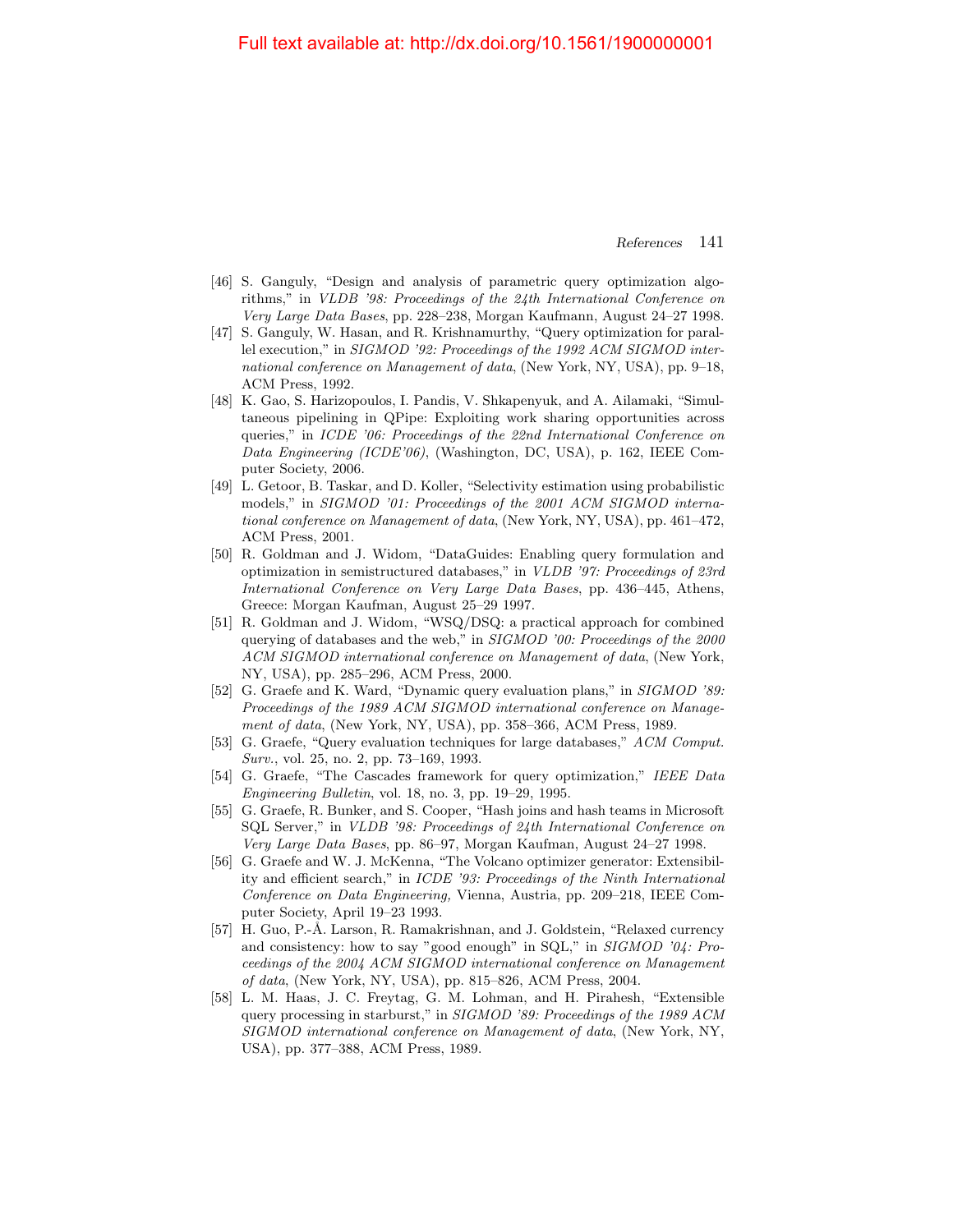- [46] S. Ganguly, "Design and analysis of parametric query optimization algorithms," in VLDB '98: Proceedings of the 24th International Conference on Very Large Data Bases, pp. 228–238, Morgan Kaufmann, August 24–27 1998.
- [47] S. Ganguly, W. Hasan, and R. Krishnamurthy, "Query optimization for parallel execution," in SIGMOD '92: Proceedings of the 1992 ACM SIGMOD international conference on Management of data, (New York, NY, USA), pp. 9–18, ACM Press, 1992.
- [48] K. Gao, S. Harizopoulos, I. Pandis, V. Shkapenyuk, and A. Ailamaki, "Simultaneous pipelining in QPipe: Exploiting work sharing opportunities across queries," in ICDE '06: Proceedings of the 22nd International Conference on Data Engineering (ICDE'06), (Washington, DC, USA), p. 162, IEEE Computer Society, 2006.
- [49] L. Getoor, B. Taskar, and D. Koller, "Selectivity estimation using probabilistic models," in SIGMOD '01: Proceedings of the 2001 ACM SIGMOD international conference on Management of data, (New York, NY, USA), pp. 461–472, ACM Press, 2001.
- [50] R. Goldman and J. Widom, "DataGuides: Enabling query formulation and optimization in semistructured databases," in VLDB '97: Proceedings of 23rd International Conference on Very Large Data Bases, pp. 436–445, Athens, Greece: Morgan Kaufman, August 25–29 1997.
- [51] R. Goldman and J. Widom, "WSQ/DSQ: a practical approach for combined querying of databases and the web," in SIGMOD '00: Proceedings of the 2000 ACM SIGMOD international conference on Management of data, (New York, NY, USA), pp. 285–296, ACM Press, 2000.
- [52] G. Graefe and K. Ward, "Dynamic query evaluation plans," in SIGMOD '89: Proceedings of the 1989 ACM SIGMOD international conference on Management of data, (New York, NY, USA), pp. 358–366, ACM Press, 1989.
- <span id="page-20-0"></span>[53] G. Graefe, "Query evaluation techniques for large databases," ACM Comput. Surv., vol. 25, no. 2, pp. 73–169, 1993.
- [54] G. Graefe, "The Cascades framework for query optimization," IEEE Data Engineering Bulletin, vol. 18, no. 3, pp. 19–29, 1995.
- [55] G. Graefe, R. Bunker, and S. Cooper, "Hash joins and hash teams in Microsoft SQL Server," in VLDB '98: Proceedings of 24th International Conference on Very Large Data Bases, pp. 86–97, Morgan Kaufman, August 24–27 1998.
- [56] G. Graefe and W. J. McKenna, "The Volcano optimizer generator: Extensibility and efficient search," in ICDE '93: Proceedings of the Ninth International Conference on Data Engineering, Vienna, Austria, pp. 209–218, IEEE Computer Society, April 19–23 1993.
- [57] H. Guo, P.-Å. Larson, R. Ramakrishnan, and J. Goldstein, "Relaxed currency and consistency: how to say "good enough" in SQL," in SIGMOD '04: Proceedings of the 2004 ACM SIGMOD international conference on Management of data, (New York, NY, USA), pp. 815–826, ACM Press, 2004.
- [58] L. M. Haas, J. C. Freytag, G. M. Lohman, and H. Pirahesh, "Extensible query processing in starburst," in SIGMOD '89: Proceedings of the 1989 ACM SIGMOD international conference on Management of data, (New York, NY, USA), pp. 377–388, ACM Press, 1989.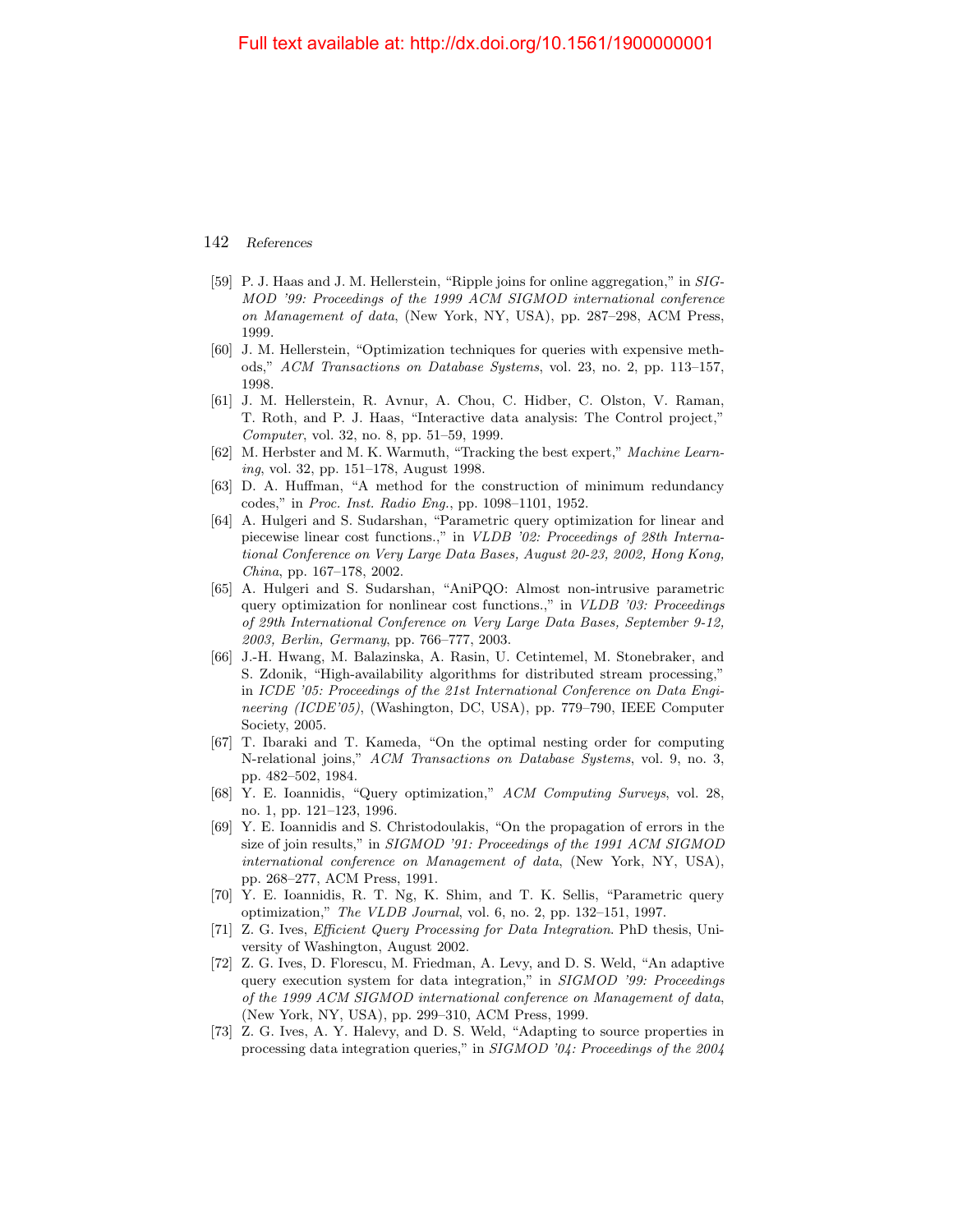- [59] P. J. Haas and J. M. Hellerstein, "Ripple joins for online aggregation," in SIG-MOD '99: Proceedings of the 1999 ACM SIGMOD international conference on Management of data, (New York, NY, USA), pp. 287–298, ACM Press, 1999.
- [60] J. M. Hellerstein, "Optimization techniques for queries with expensive methods," ACM Transactions on Database Systems, vol. 23, no. 2, pp. 113–157, 1998.
- <span id="page-21-2"></span>[61] J. M. Hellerstein, R. Avnur, A. Chou, C. Hidber, C. Olston, V. Raman, T. Roth, and P. J. Haas, "Interactive data analysis: The Control project," Computer, vol. 32, no. 8, pp. 51–59, 1999.
- [62] M. Herbster and M. K. Warmuth, "Tracking the best expert," Machine Learning, vol. 32, pp. 151–178, August 1998.
- [63] D. A. Huffman, "A method for the construction of minimum redundancy codes," in Proc. Inst. Radio Eng., pp. 1098–1101, 1952.
- [64] A. Hulgeri and S. Sudarshan, "Parametric query optimization for linear and piecewise linear cost functions.," in VLDB '02: Proceedings of 28th International Conference on Very Large Data Bases, August 20-23, 2002, Hong Kong, China, pp. 167–178, 2002.
- [65] A. Hulgeri and S. Sudarshan, "AniPQO: Almost non-intrusive parametric query optimization for nonlinear cost functions.," in VLDB '03: Proceedings of 29th International Conference on Very Large Data Bases, September 9-12, 2003, Berlin, Germany, pp. 766–777, 2003.
- [66] J.-H. Hwang, M. Balazinska, A. Rasin, U. Cetintemel, M. Stonebraker, and S. Zdonik, "High-availability algorithms for distributed stream processing," in ICDE '05: Proceedings of the 21st International Conference on Data Engineering (ICDE'05), (Washington, DC, USA), pp. 779–790, IEEE Computer Society, 2005.
- [67] T. Ibaraki and T. Kameda, "On the optimal nesting order for computing N-relational joins," ACM Transactions on Database Systems, vol. 9, no. 3, pp. 482–502, 1984.
- <span id="page-21-3"></span>[68] Y. E. Ioannidis, "Query optimization," ACM Computing Surveys, vol. 28, no. 1, pp. 121–123, 1996.
- <span id="page-21-0"></span>[69] Y. E. Ioannidis and S. Christodoulakis, "On the propagation of errors in the size of join results," in *SIGMOD* '91: Proceedings of the 1991 ACM SIGMOD international conference on Management of data, (New York, NY, USA), pp. 268–277, ACM Press, 1991.
- [70] Y. E. Ioannidis, R. T. Ng, K. Shim, and T. K. Sellis, "Parametric query optimization," The VLDB Journal, vol. 6, no. 2, pp. 132–151, 1997.
- [71] Z. G. Ives, Efficient Query Processing for Data Integration. PhD thesis, University of Washington, August 2002.
- <span id="page-21-1"></span>[72] Z. G. Ives, D. Florescu, M. Friedman, A. Levy, and D. S. Weld, "An adaptive query execution system for data integration," in SIGMOD '99: Proceedings of the 1999 ACM SIGMOD international conference on Management of data, (New York, NY, USA), pp. 299–310, ACM Press, 1999.
- [73] Z. G. Ives, A. Y. Halevy, and D. S. Weld, "Adapting to source properties in processing data integration queries," in SIGMOD '04: Proceedings of the 2004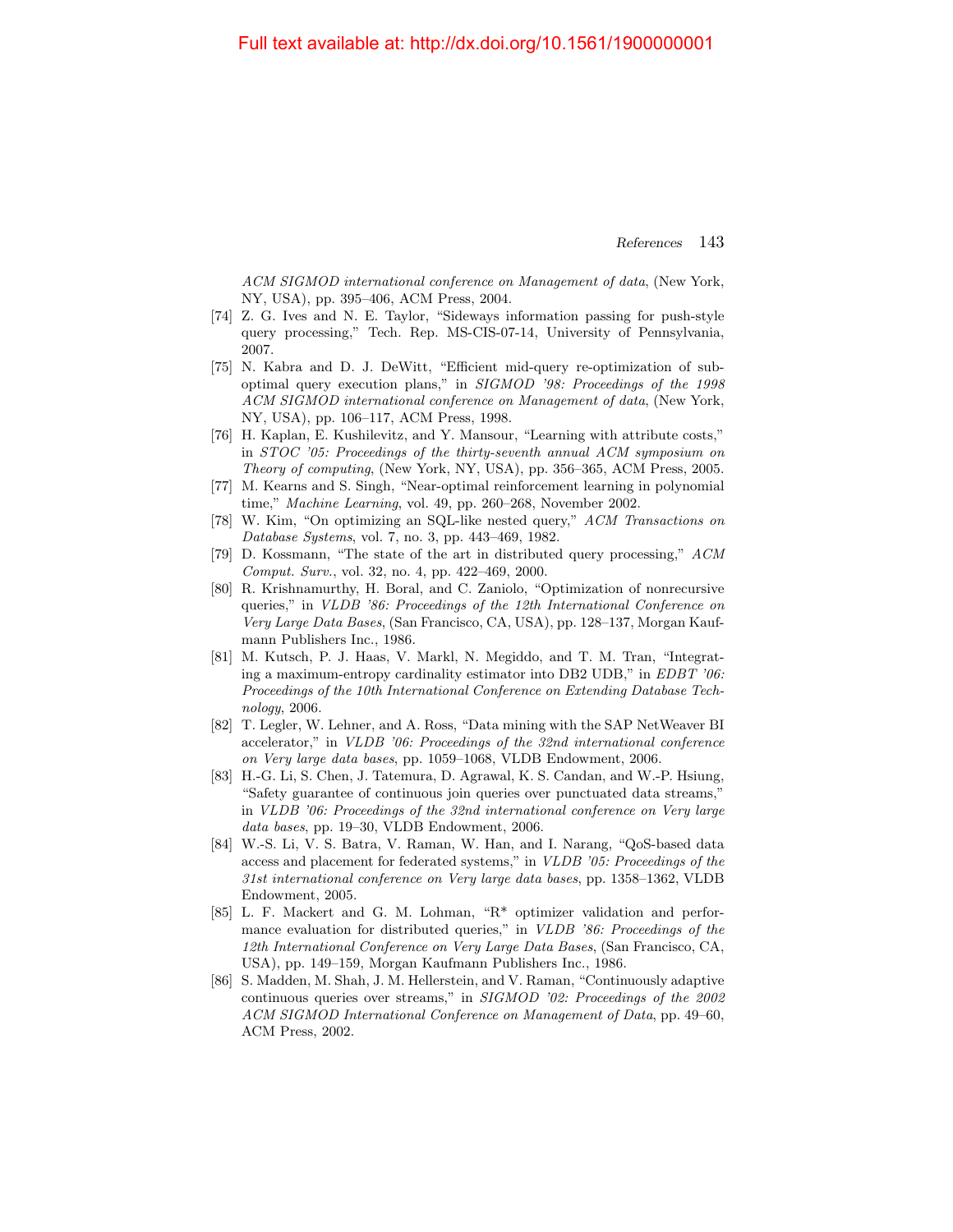ACM SIGMOD international conference on Management of data, (New York, NY, USA), pp. 395–406, ACM Press, 2004.

- [74] Z. G. Ives and N. E. Taylor, "Sideways information passing for push-style query processing," Tech. Rep. MS-CIS-07-14, University of Pennsylvania, 2007.
- <span id="page-22-0"></span>[75] N. Kabra and D. J. DeWitt, "Efficient mid-query re-optimization of suboptimal query execution plans," in SIGMOD '98: Proceedings of the 1998 ACM SIGMOD international conference on Management of data, (New York, NY, USA), pp. 106–117, ACM Press, 1998.
- [76] H. Kaplan, E. Kushilevitz, and Y. Mansour, "Learning with attribute costs," in STOC '05: Proceedings of the thirty-seventh annual ACM symposium on Theory of computing, (New York, NY, USA), pp. 356–365, ACM Press, 2005.
- [77] M. Kearns and S. Singh, "Near-optimal reinforcement learning in polynomial time," Machine Learning, vol. 49, pp. 260–268, November 2002.
- [78] W. Kim, "On optimizing an SQL-like nested query," ACM Transactions on Database Systems, vol. 7, no. 3, pp. 443–469, 1982.
- <span id="page-22-3"></span>[79] D. Kossmann, "The state of the art in distributed query processing," ACM Comput. Surv., vol. 32, no. 4, pp. 422–469, 2000.
- [80] R. Krishnamurthy, H. Boral, and C. Zaniolo, "Optimization of nonrecursive queries," in VLDB '86: Proceedings of the 12th International Conference on Very Large Data Bases, (San Francisco, CA, USA), pp. 128–137, Morgan Kaufmann Publishers Inc., 1986.
- [81] M. Kutsch, P. J. Haas, V. Markl, N. Megiddo, and T. M. Tran, "Integrating a maximum-entropy cardinality estimator into DB2 UDB," in EDBT '06: Proceedings of the 10th International Conference on Extending Database Technology, 2006.
- <span id="page-22-2"></span>[82] T. Legler, W. Lehner, and A. Ross, "Data mining with the SAP NetWeaver BI accelerator," in VLDB '06: Proceedings of the 32nd international conference on Very large data bases, pp. 1059–1068, VLDB Endowment, 2006.
- [83] H.-G. Li, S. Chen, J. Tatemura, D. Agrawal, K. S. Candan, and W.-P. Hsiung, "Safety guarantee of continuous join queries over punctuated data streams," in VLDB '06: Proceedings of the 32nd international conference on Very large data bases, pp. 19–30, VLDB Endowment, 2006.
- [84] W.-S. Li, V. S. Batra, V. Raman, W. Han, and I. Narang, "QoS-based data access and placement for federated systems," in VLDB '05: Proceedings of the 31st international conference on Very large data bases, pp. 1358–1362, VLDB Endowment, 2005.
- [85] L. F. Mackert and G. M. Lohman, "R\* optimizer validation and performance evaluation for distributed queries," in VLDB '86: Proceedings of the 12th International Conference on Very Large Data Bases, (San Francisco, CA, USA), pp. 149–159, Morgan Kaufmann Publishers Inc., 1986.
- <span id="page-22-1"></span>[86] S. Madden, M. Shah, J. M. Hellerstein, and V. Raman, "Continuously adaptive continuous queries over streams," in SIGMOD '02: Proceedings of the 2002 ACM SIGMOD International Conference on Management of Data, pp. 49–60, ACM Press, 2002.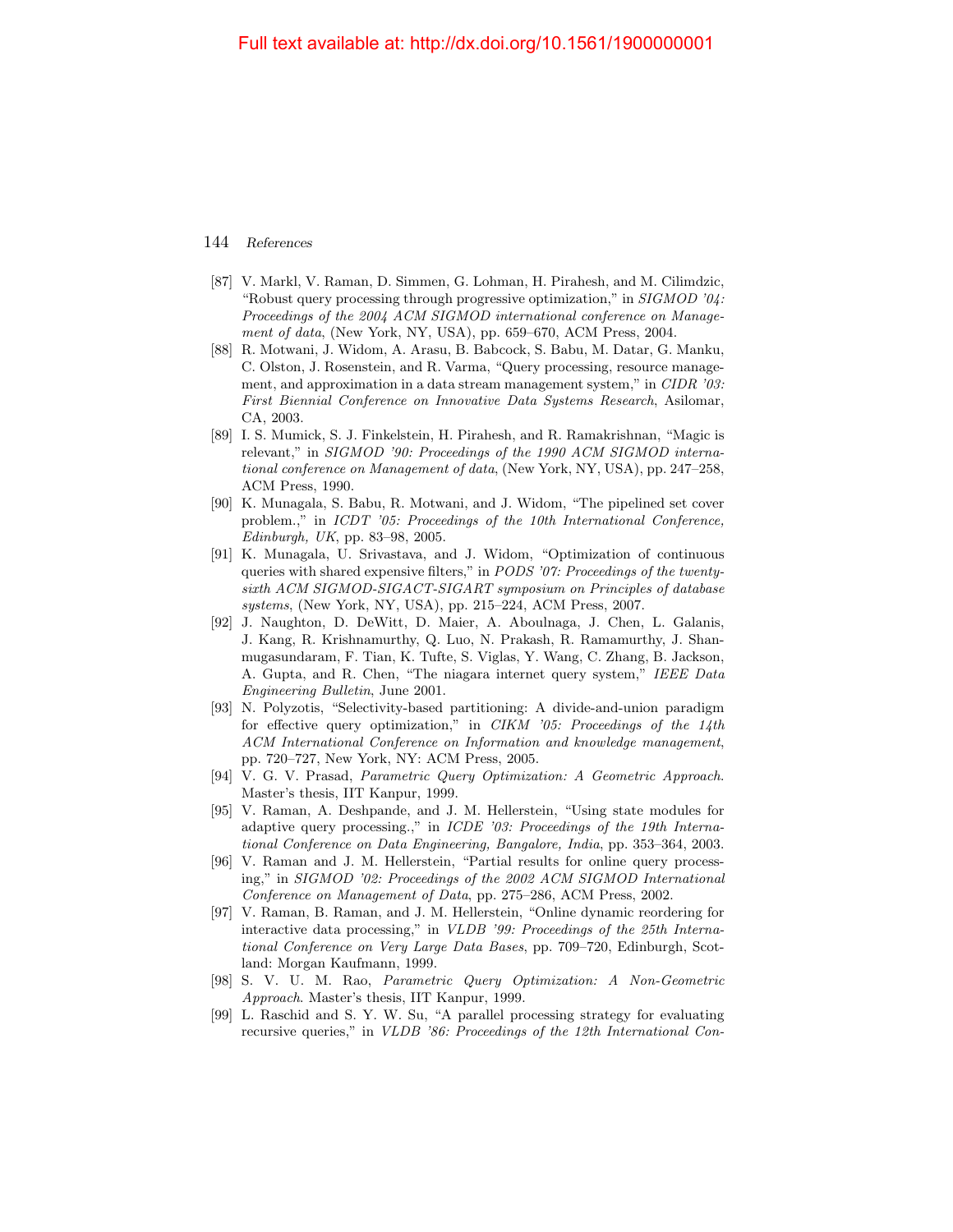- <span id="page-23-0"></span>[87] V. Markl, V. Raman, D. Simmen, G. Lohman, H. Pirahesh, and M. Cilimdzic, "Robust query processing through progressive optimization," in SIGMOD '04: Proceedings of the 2004 ACM SIGMOD international conference on Management of data, (New York, NY, USA), pp. 659–670, ACM Press, 2004.
- <span id="page-23-1"></span>[88] R. Motwani, J. Widom, A. Arasu, B. Babcock, S. Babu, M. Datar, G. Manku, C. Olston, J. Rosenstein, and R. Varma, "Query processing, resource management, and approximation in a data stream management system," in CIDR '03: First Biennial Conference on Innovative Data Systems Research, Asilomar, CA, 2003.
- [89] I. S. Mumick, S. J. Finkelstein, H. Pirahesh, and R. Ramakrishnan, "Magic is relevant," in SIGMOD '90: Proceedings of the 1990 ACM SIGMOD international conference on Management of data, (New York, NY, USA), pp. 247–258, ACM Press, 1990.
- [90] K. Munagala, S. Babu, R. Motwani, and J. Widom, "The pipelined set cover problem.," in ICDT '05: Proceedings of the 10th International Conference, Edinburgh, UK, pp. 83–98, 2005.
- [91] K. Munagala, U. Srivastava, and J. Widom, "Optimization of continuous queries with shared expensive filters," in PODS '07: Proceedings of the twentysixth ACM SIGMOD-SIGACT-SIGART symposium on Principles of database systems, (New York, NY, USA), pp. 215–224, ACM Press, 2007.
- <span id="page-23-2"></span>[92] J. Naughton, D. DeWitt, D. Maier, A. Aboulnaga, J. Chen, L. Galanis, J. Kang, R. Krishnamurthy, Q. Luo, N. Prakash, R. Ramamurthy, J. Shanmugasundaram, F. Tian, K. Tufte, S. Viglas, Y. Wang, C. Zhang, B. Jackson, A. Gupta, and R. Chen, "The niagara internet query system," IEEE Data Engineering Bulletin, June 2001.
- [93] N. Polyzotis, "Selectivity-based partitioning: A divide-and-union paradigm for effective query optimization," in CIKM '05: Proceedings of the 14th ACM International Conference on Information and knowledge management, pp. 720–727, New York, NY: ACM Press, 2005.
- [94] V. G. V. Prasad, Parametric Query Optimization: A Geometric Approach. Master's thesis, IIT Kanpur, 1999.
- [95] V. Raman, A. Deshpande, and J. M. Hellerstein, "Using state modules for adaptive query processing.," in ICDE '03: Proceedings of the 19th International Conference on Data Engineering, Bangalore, India, pp. 353–364, 2003.
- [96] V. Raman and J. M. Hellerstein, "Partial results for online query processing," in SIGMOD '02: Proceedings of the 2002 ACM SIGMOD International Conference on Management of Data, pp. 275–286, ACM Press, 2002.
- [97] V. Raman, B. Raman, and J. M. Hellerstein, "Online dynamic reordering for interactive data processing," in VLDB '99: Proceedings of the 25th International Conference on Very Large Data Bases, pp. 709–720, Edinburgh, Scotland: Morgan Kaufmann, 1999.
- [98] S. V. U. M. Rao, Parametric Query Optimization: A Non-Geometric Approach. Master's thesis, IIT Kanpur, 1999.
- [99] L. Raschid and S. Y. W. Su, "A parallel processing strategy for evaluating recursive queries," in VLDB '86: Proceedings of the 12th International Con-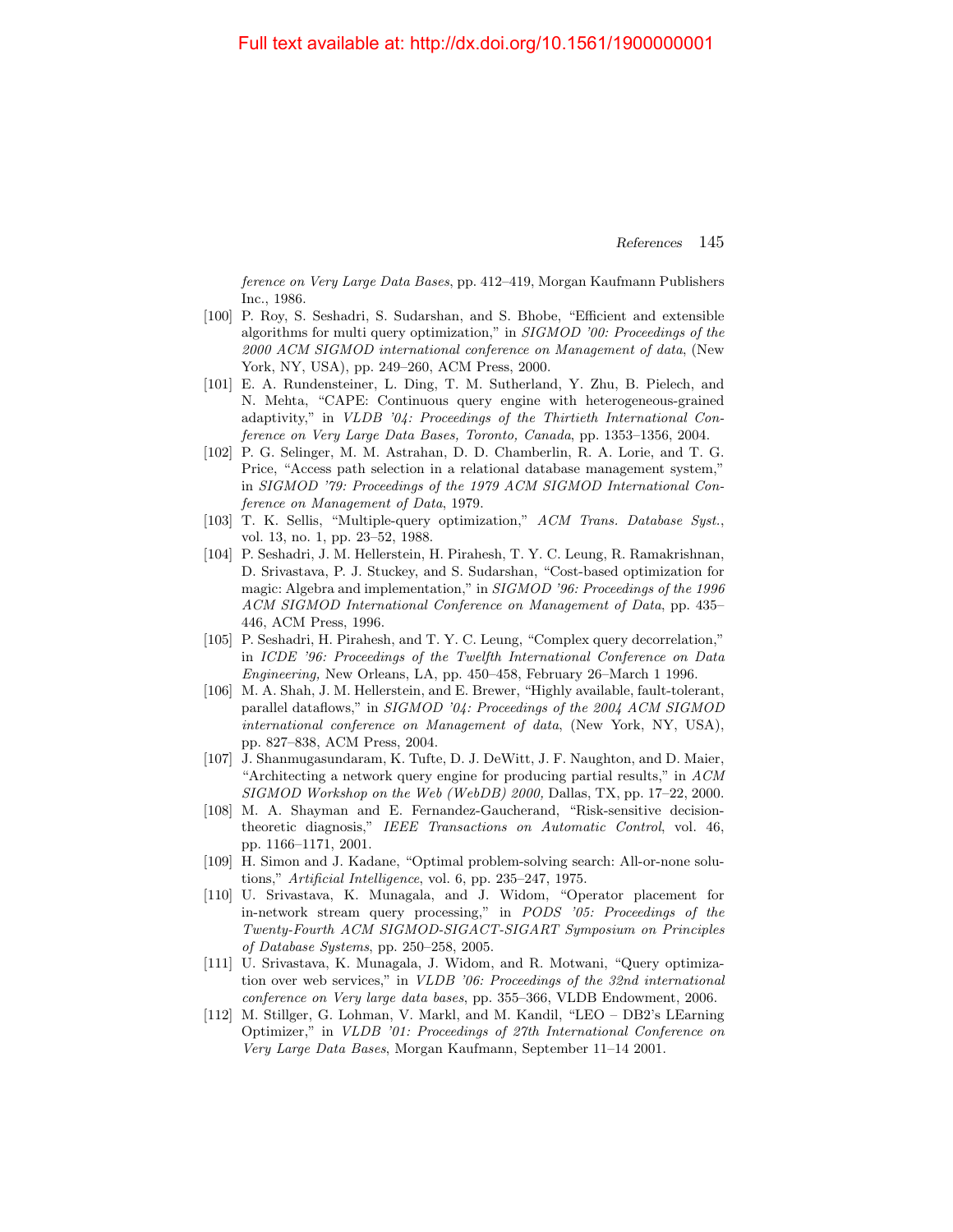ference on Very Large Data Bases, pp. 412–419, Morgan Kaufmann Publishers Inc., 1986.

- [100] P. Roy, S. Seshadri, S. Sudarshan, and S. Bhobe, "Efficient and extensible algorithms for multi query optimization," in SIGMOD '00: Proceedings of the 2000 ACM SIGMOD international conference on Management of data, (New York, NY, USA), pp. 249–260, ACM Press, 2000.
- <span id="page-24-2"></span>[101] E. A. Rundensteiner, L. Ding, T. M. Sutherland, Y. Zhu, B. Pielech, and N. Mehta, "CAPE: Continuous query engine with heterogeneous-grained adaptivity," in VLDB '04: Proceedings of the Thirtieth International Conference on Very Large Data Bases, Toronto, Canada, pp. 1353–1356, 2004.
- <span id="page-24-0"></span>[102] P. G. Selinger, M. M. Astrahan, D. D. Chamberlin, R. A. Lorie, and T. G. Price, "Access path selection in a relational database management system," in SIGMOD '79: Proceedings of the 1979 ACM SIGMOD International Conference on Management of Data, 1979.
- [103] T. K. Sellis, "Multiple-query optimization," ACM Trans. Database Syst., vol. 13, no. 1, pp. 23–52, 1988.
- [104] P. Seshadri, J. M. Hellerstein, H. Pirahesh, T. Y. C. Leung, R. Ramakrishnan, D. Srivastava, P. J. Stuckey, and S. Sudarshan, "Cost-based optimization for magic: Algebra and implementation," in SIGMOD '96: Proceedings of the 1996 ACM SIGMOD International Conference on Management of Data, pp. 435– 446, ACM Press, 1996.
- [105] P. Seshadri, H. Pirahesh, and T. Y. C. Leung, "Complex query decorrelation," in ICDE '96: Proceedings of the Twelfth International Conference on Data Engineering, New Orleans, LA, pp. 450–458, February 26–March 1 1996.
- [106] M. A. Shah, J. M. Hellerstein, and E. Brewer, "Highly available, fault-tolerant, parallel dataflows," in SIGMOD '04: Proceedings of the 2004 ACM SIGMOD international conference on Management of data, (New York, NY, USA), pp. 827–838, ACM Press, 2004.
- [107] J. Shanmugasundaram, K. Tufte, D. J. DeWitt, J. F. Naughton, and D. Maier, "Architecting a network query engine for producing partial results," in  $ACM$ SIGMOD Workshop on the Web (WebDB) 2000, Dallas, TX, pp. 17–22, 2000.
- [108] M. A. Shayman and E. Fernandez-Gaucherand, "Risk-sensitive decisiontheoretic diagnosis," IEEE Transactions on Automatic Control, vol. 46, pp. 1166–1171, 2001.
- [109] H. Simon and J. Kadane, "Optimal problem-solving search: All-or-none solutions," Artificial Intelligence, vol. 6, pp. 235–247, 1975.
- [110] U. Srivastava, K. Munagala, and J. Widom, "Operator placement for in-network stream query processing," in PODS '05: Proceedings of the Twenty-Fourth ACM SIGMOD-SIGACT-SIGART Symposium on Principles of Database Systems, pp. 250–258, 2005.
- [111] U. Srivastava, K. Munagala, J. Widom, and R. Motwani, "Query optimization over web services," in *VLDB '06: Proceedings of the 32nd international* conference on Very large data bases, pp. 355–366, VLDB Endowment, 2006.
- <span id="page-24-1"></span>[112] M. Stillger, G. Lohman, V. Markl, and M. Kandil, "LEO – DB2's LEarning Optimizer," in VLDB '01: Proceedings of 27th International Conference on Very Large Data Bases, Morgan Kaufmann, September 11–14 2001.